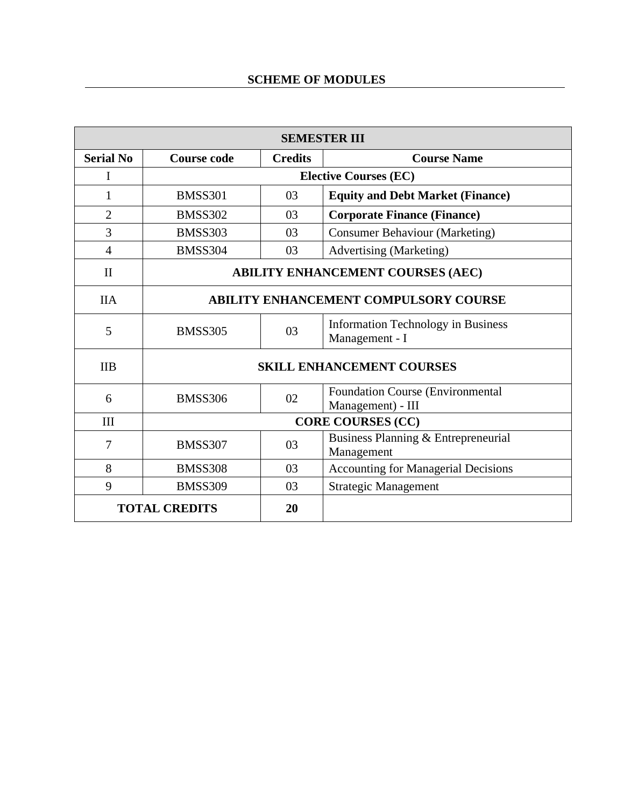| <b>SEMESTER III</b>        |                                          |                                                  |                                                              |  |
|----------------------------|------------------------------------------|--------------------------------------------------|--------------------------------------------------------------|--|
| <b>Serial No</b>           | <b>Course code</b>                       | <b>Credits</b><br><b>Course Name</b>             |                                                              |  |
| I                          |                                          | <b>Elective Courses (EC)</b>                     |                                                              |  |
| 1                          | <b>BMSS301</b>                           | 03                                               | <b>Equity and Debt Market (Finance)</b>                      |  |
| $\overline{2}$             | <b>BMSS302</b>                           | 03                                               | <b>Corporate Finance (Finance)</b>                           |  |
| 3                          | <b>BMSS303</b>                           | 03                                               | <b>Consumer Behaviour (Marketing)</b>                        |  |
| $\overline{4}$             | <b>BMSS304</b>                           | 03                                               | <b>Advertising (Marketing)</b>                               |  |
| $\mathbf{I}$               | <b>ABILITY ENHANCEMENT COURSES (AEC)</b> |                                                  |                                                              |  |
| <b>IIA</b>                 |                                          | <b>ABILITY ENHANCEMENT COMPULSORY COURSE</b>     |                                                              |  |
| 5                          | <b>BMSS305</b>                           | 03                                               | <b>Information Technology in Business</b><br>Management - I  |  |
| <b>IIB</b>                 |                                          | <b>SKILL ENHANCEMENT COURSES</b>                 |                                                              |  |
| 6                          | <b>BMSS306</b>                           | 02                                               | <b>Foundation Course (Environmental</b><br>Management) - III |  |
| III                        |                                          | <b>CORE COURSES (CC)</b>                         |                                                              |  |
| 7                          | <b>BMSS307</b>                           | 03                                               | Business Planning & Entrepreneurial<br>Management            |  |
| 8                          | <b>BMSS308</b>                           | <b>Accounting for Managerial Decisions</b><br>03 |                                                              |  |
| 9                          | <b>BMSS309</b>                           | <b>Strategic Management</b><br>03                |                                                              |  |
| <b>TOTAL CREDITS</b><br>20 |                                          |                                                  |                                                              |  |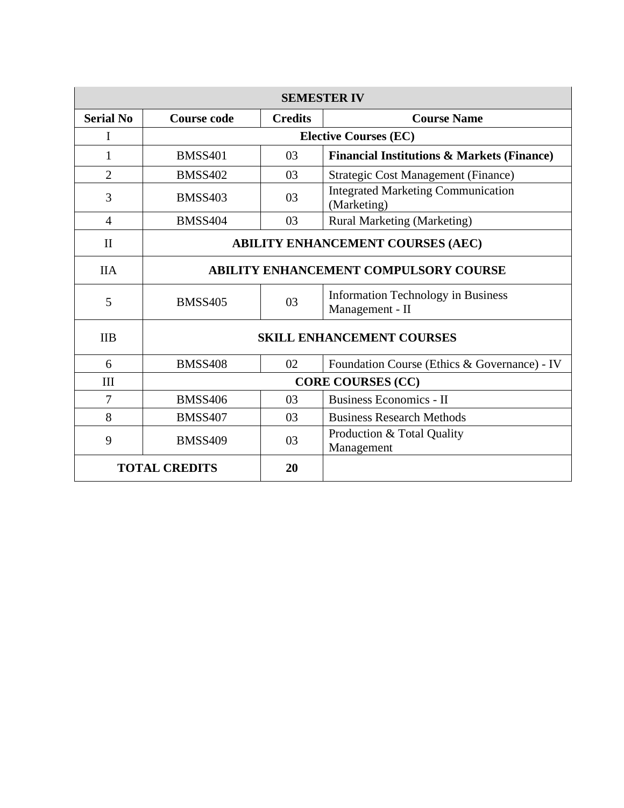| <b>SEMESTER IV</b>         |                                                                                      |                                                |                                                          |  |
|----------------------------|--------------------------------------------------------------------------------------|------------------------------------------------|----------------------------------------------------------|--|
| <b>Serial No</b>           | <b>Credits</b><br>Course code<br><b>Course Name</b>                                  |                                                |                                                          |  |
|                            |                                                                                      | <b>Elective Courses (EC)</b>                   |                                                          |  |
| 1                          | <b>BMSS401</b>                                                                       | 03                                             | <b>Financial Institutions &amp; Markets (Finance)</b>    |  |
| $\overline{2}$             | <b>BMSS402</b>                                                                       | 03                                             | <b>Strategic Cost Management (Finance)</b>               |  |
| 3                          | <b>BMSS403</b>                                                                       | 03                                             | <b>Integrated Marketing Communication</b><br>(Marketing) |  |
| $\overline{4}$             | <b>BMSS404</b>                                                                       | 03                                             | <b>Rural Marketing (Marketing)</b>                       |  |
| $\mathbf{I}$               | <b>ABILITY ENHANCEMENT COURSES (AEC)</b>                                             |                                                |                                                          |  |
| <b>IIA</b>                 | <b>ABILITY ENHANCEMENT COMPULSORY COURSE</b>                                         |                                                |                                                          |  |
| 5                          | <b>Information Technology in Business</b><br>03<br><b>BMSS405</b><br>Management - II |                                                |                                                          |  |
| <b>IIB</b>                 | <b>SKILL ENHANCEMENT COURSES</b>                                                     |                                                |                                                          |  |
| 6                          | <b>BMSS408</b>                                                                       | 02                                             | Foundation Course (Ethics & Governance) - IV             |  |
| III                        | <b>CORE COURSES (CC)</b>                                                             |                                                |                                                          |  |
| $\overline{7}$             | <b>BMSS406</b>                                                                       | 03                                             | <b>Business Economics - II</b>                           |  |
| 8                          | <b>BMSS407</b>                                                                       | 03                                             | <b>Business Research Methods</b>                         |  |
| 9                          | <b>BMSS409</b>                                                                       | Production & Total Quality<br>03<br>Management |                                                          |  |
| <b>TOTAL CREDITS</b><br>20 |                                                                                      |                                                |                                                          |  |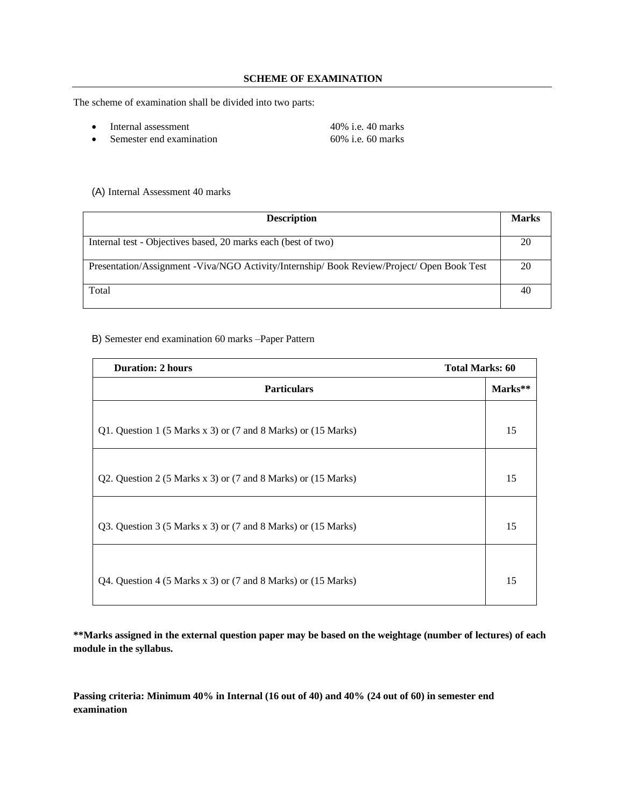#### **SCHEME OF EXAMINATION**

The scheme of examination shall be divided into two parts:

- Internal assessment 40% i.e. 40 marks
- Semester end examination 60% i.e. 60 marks

#### (A) Internal Assessment 40 marks

| <b>Description</b>                                                                         |    |
|--------------------------------------------------------------------------------------------|----|
| Internal test - Objectives based, 20 marks each (best of two)                              | 20 |
| Presentation/Assignment -Viva/NGO Activity/Internship/ Book Review/Project/ Open Book Test | 20 |
| Total                                                                                      | 40 |

#### B) Semester end examination 60 marks –Paper Pattern

| <b>Duration: 2 hours</b>                                      | <b>Total Marks: 60</b> |
|---------------------------------------------------------------|------------------------|
| <b>Particulars</b>                                            | Marks**                |
| Q1. Question 1 (5 Marks x 3) or (7 and 8 Marks) or (15 Marks) | 15                     |
| Q2. Question 2 (5 Marks x 3) or (7 and 8 Marks) or (15 Marks) | 15                     |
| Q3. Question 3 (5 Marks x 3) or (7 and 8 Marks) or (15 Marks) | 15                     |
| Q4. Question 4 (5 Marks x 3) or (7 and 8 Marks) or (15 Marks) | 15                     |

**\*\*Marks assigned in the external question paper may be based on the weightage (number of lectures) of each module in the syllabus.**

**Passing criteria: Minimum 40% in Internal (16 out of 40) and 40% (24 out of 60) in semester end examination**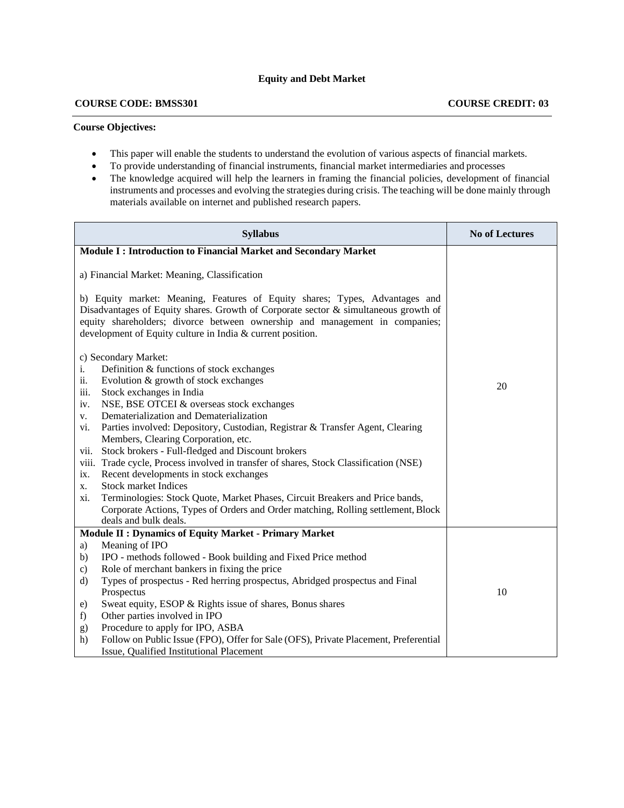#### **COURSE CODE: BMSS301 COURSE CREDIT: 03**

#### **Course Objectives:**

- This paper will enable the students to understand the evolution of various aspects of financial markets.
- To provide understanding of financial instruments, financial market intermediaries and processes
- The knowledge acquired will help the learners in framing the financial policies, development of financial instruments and processes and evolving the strategies during crisis. The teaching will be done mainly through materials available on internet and published research papers.

| <b>Syllabus</b>                                                                                                                                                                                                                                                                                                                                                                                                                                                                                                                                                                                                                                                                                                                                                                                                           | <b>No of Lectures</b> |
|---------------------------------------------------------------------------------------------------------------------------------------------------------------------------------------------------------------------------------------------------------------------------------------------------------------------------------------------------------------------------------------------------------------------------------------------------------------------------------------------------------------------------------------------------------------------------------------------------------------------------------------------------------------------------------------------------------------------------------------------------------------------------------------------------------------------------|-----------------------|
| <b>Module I: Introduction to Financial Market and Secondary Market</b>                                                                                                                                                                                                                                                                                                                                                                                                                                                                                                                                                                                                                                                                                                                                                    |                       |
| a) Financial Market: Meaning, Classification<br>b) Equity market: Meaning, Features of Equity shares; Types, Advantages and<br>Disadvantages of Equity shares. Growth of Corporate sector & simultaneous growth of<br>equity shareholders; divorce between ownership and management in companies;<br>development of Equity culture in India & current position.                                                                                                                                                                                                                                                                                                                                                                                                                                                           |                       |
| c) Secondary Market:<br>Definition & functions of stock exchanges<br>i.<br>ii.<br>Evolution & growth of stock exchanges<br>iii.<br>Stock exchanges in India<br>NSE, BSE OTCEI & overseas stock exchanges<br>iv.<br>Dematerialization and Dematerialization<br>V.<br>Parties involved: Depository, Custodian, Registrar & Transfer Agent, Clearing<br>vi.<br>Members, Clearing Corporation, etc.<br>Stock brokers - Full-fledged and Discount brokers<br>vii.<br>Trade cycle, Process involved in transfer of shares, Stock Classification (NSE)<br>viii.<br>Recent developments in stock exchanges<br>ix.<br><b>Stock market Indices</b><br>X.<br>Terminologies: Stock Quote, Market Phases, Circuit Breakers and Price bands,<br>xi.<br>Corporate Actions, Types of Orders and Order matching, Rolling settlement, Block | 20                    |
| deals and bulk deals.<br><b>Module II : Dynamics of Equity Market - Primary Market</b>                                                                                                                                                                                                                                                                                                                                                                                                                                                                                                                                                                                                                                                                                                                                    |                       |
| Meaning of IPO<br>a)<br>IPO - methods followed - Book building and Fixed Price method<br>b)<br>Role of merchant bankers in fixing the price<br>$\mathbf{c})$<br>Types of prospectus - Red herring prospectus, Abridged prospectus and Final<br>$\mathbf{d}$<br>Prospectus<br>Sweat equity, ESOP & Rights issue of shares, Bonus shares<br>e)<br>Other parties involved in IPO<br>f)<br>Procedure to apply for IPO, ASBA<br>g)<br>Follow on Public Issue (FPO), Offer for Sale (OFS), Private Placement, Preferential<br>h)<br>Issue, Qualified Institutional Placement                                                                                                                                                                                                                                                    | 10                    |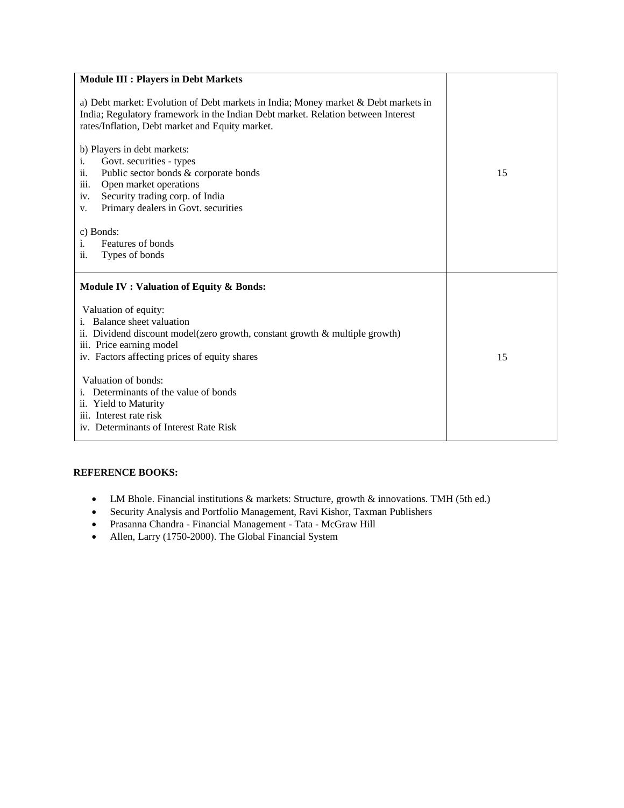| <b>Module III : Players in Debt Markets</b>                                                                                                                                                                                                                                                           |    |  |
|-------------------------------------------------------------------------------------------------------------------------------------------------------------------------------------------------------------------------------------------------------------------------------------------------------|----|--|
| a) Debt market: Evolution of Debt markets in India; Money market & Debt markets in<br>India; Regulatory framework in the Indian Debt market. Relation between Interest<br>rates/Inflation, Debt market and Equity market.                                                                             |    |  |
| b) Players in debt markets:<br>Govt. securities - types<br>i.<br>Public sector bonds & corporate bonds<br>$\overline{\mathbf{11}}$ .<br>iii.<br>Open market operations<br>Security trading corp. of India<br>1V.<br>Primary dealers in Govt. securities<br>V.<br>c) Bonds:<br>Features of bonds<br>i. | 15 |  |
| Types of bonds<br>$\overline{\mathbf{11}}$ .                                                                                                                                                                                                                                                          |    |  |
| Module IV : Valuation of Equity & Bonds:                                                                                                                                                                                                                                                              |    |  |
| Valuation of equity:<br>i. Balance sheet valuation<br>ii. Dividend discount model(zero growth, constant growth $\&$ multiple growth)<br>iii. Price earning model<br>iv. Factors affecting prices of equity shares                                                                                     | 15 |  |
| Valuation of bonds:<br>i. Determinants of the value of bonds<br>ii. Yield to Maturity<br>iii. Interest rate risk<br>iv. Determinants of Interest Rate Risk                                                                                                                                            |    |  |

#### **REFERENCE BOOKS:**

- LM Bhole. Financial institutions & markets: Structure, growth & innovations. TMH (5th ed.)
- Security Analysis and Portfolio Management, Ravi Kishor, Taxman Publishers
- Prasanna Chandra Financial Management Tata McGraw Hill
- Allen, Larry (1750-2000). The Global Financial System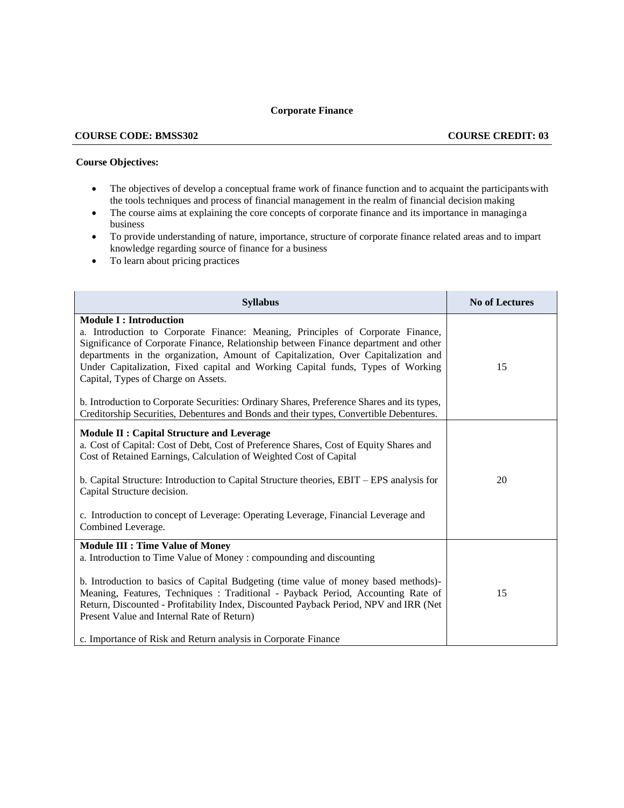#### **Corporate Finance**

#### **COURSE CODE: BMSS302 COURSE CREDIT: 03**

#### **Course Objectives:**

- The objectives of develop a conceptual frame work of finance function and to acquaint the participants with the tools techniques and process of financial management in the realm of financial decision making
- The course aims at explaining the core concepts of corporate finance and its importance in managing a business
- To provide understanding of nature, importance, structure of corporate finance related areas and to impart knowledge regarding source of finance for a business
- To learn about pricing practices

| <b>Syllabus</b>                                                                                                                                                                                                                                                                                                                                                                                                                                                                                                                                                                                                  | <b>No of Lectures</b> |
|------------------------------------------------------------------------------------------------------------------------------------------------------------------------------------------------------------------------------------------------------------------------------------------------------------------------------------------------------------------------------------------------------------------------------------------------------------------------------------------------------------------------------------------------------------------------------------------------------------------|-----------------------|
| <b>Module I: Introduction</b><br>a. Introduction to Corporate Finance: Meaning, Principles of Corporate Finance,<br>Significance of Corporate Finance, Relationship between Finance department and other<br>departments in the organization, Amount of Capitalization, Over Capitalization and<br>Under Capitalization, Fixed capital and Working Capital funds, Types of Working<br>Capital, Types of Charge on Assets.<br>b. Introduction to Corporate Securities: Ordinary Shares, Preference Shares and its types,<br>Creditorship Securities, Debentures and Bonds and their types, Convertible Debentures. | 15                    |
| <b>Module II: Capital Structure and Leverage</b><br>a. Cost of Capital: Cost of Debt, Cost of Preference Shares, Cost of Equity Shares and<br>Cost of Retained Earnings, Calculation of Weighted Cost of Capital<br>b. Capital Structure: Introduction to Capital Structure theories, EBIT – EPS analysis for<br>Capital Structure decision.<br>c. Introduction to concept of Leverage: Operating Leverage, Financial Leverage and<br>Combined Leverage.                                                                                                                                                         | 20                    |
| <b>Module III : Time Value of Money</b><br>a. Introduction to Time Value of Money : compounding and discounting<br>b. Introduction to basics of Capital Budgeting (time value of money based methods)-<br>Meaning, Features, Techniques : Traditional - Payback Period, Accounting Rate of<br>Return, Discounted - Profitability Index, Discounted Payback Period, NPV and IRR (Net<br>Present Value and Internal Rate of Return)<br>c. Importance of Risk and Return analysis in Corporate Finance                                                                                                              | 15                    |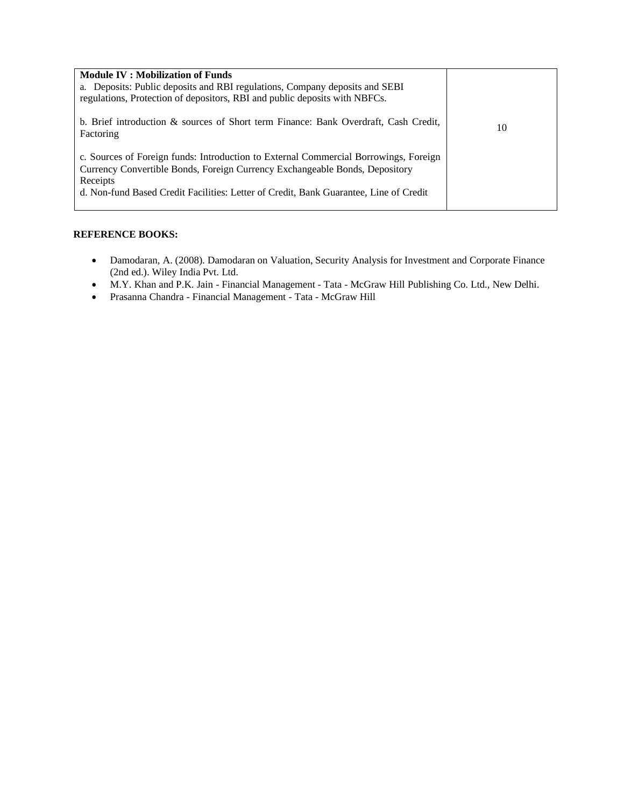| <b>Module IV: Mobilization of Funds</b><br>a. Deposits: Public deposits and RBI regulations, Company deposits and SEBI<br>regulations, Protection of depositors, RBI and public deposits with NBFCs.                                                                     |    |
|--------------------------------------------------------------------------------------------------------------------------------------------------------------------------------------------------------------------------------------------------------------------------|----|
| b. Brief introduction & sources of Short term Finance: Bank Overdraft, Cash Credit,<br>Factoring                                                                                                                                                                         | 10 |
| c. Sources of Foreign funds: Introduction to External Commercial Borrowings, Foreign<br>Currency Convertible Bonds, Foreign Currency Exchangeable Bonds, Depository<br>Receipts<br>d. Non-fund Based Credit Facilities: Letter of Credit, Bank Guarantee, Line of Credit |    |

#### **REFERENCE BOOKS:**

- Damodaran, A. (2008). Damodaran on Valuation, Security Analysis for Investment and Corporate Finance (2nd ed.). Wiley India Pvt. Ltd.
- M.Y. Khan and P.K. Jain Financial Management Tata McGraw Hill Publishing Co. Ltd., New Delhi.
- Prasanna Chandra Financial Management Tata McGraw Hill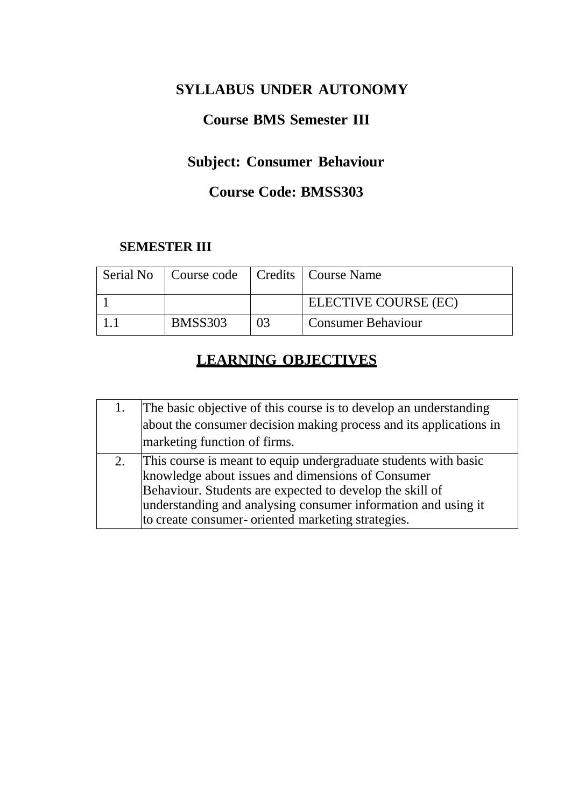# **SYLLABUS UNDER AUTONOMY**

# **Course BMS Semester III**

# **Subject: Consumer Behaviour**

# **Course Code: BMSS303**

## **SEMESTER III**

| Serial No   Course code   Credits   Course Name |    |                           |
|-------------------------------------------------|----|---------------------------|
|                                                 |    | ELECTIVE COURSE (EC)      |
| <b>BMSS303</b>                                  | 03 | <b>Consumer Behaviour</b> |

# **LEARNING OBJECTIVES**

| The basic objective of this course is to develop an understanding                                  |
|----------------------------------------------------------------------------------------------------|
| about the consumer decision making process and its applications in<br>marketing function of firms. |
|                                                                                                    |
| This course is meant to equip undergraduate students with basic                                    |
| knowledge about issues and dimensions of Consumer                                                  |
| Behaviour. Students are expected to develop the skill of                                           |
| understanding and analysing consumer information and using it                                      |
| to create consumer- oriented marketing strategies.                                                 |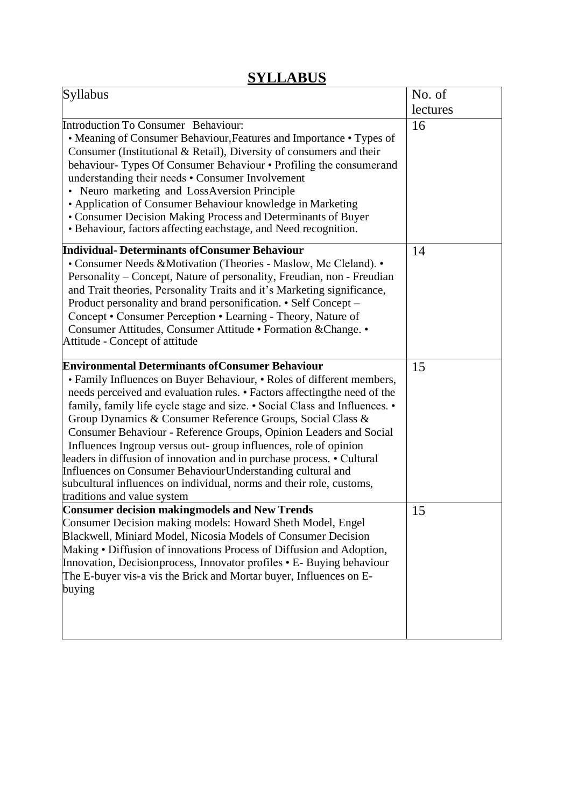# **SYLLABUS**

| Syllabus                                                                                                                                                                                                                                                                                                                                                                                                                                                                                                                                                                                                                                                                                                                                         | No. of   |
|--------------------------------------------------------------------------------------------------------------------------------------------------------------------------------------------------------------------------------------------------------------------------------------------------------------------------------------------------------------------------------------------------------------------------------------------------------------------------------------------------------------------------------------------------------------------------------------------------------------------------------------------------------------------------------------------------------------------------------------------------|----------|
|                                                                                                                                                                                                                                                                                                                                                                                                                                                                                                                                                                                                                                                                                                                                                  | lectures |
| <b>Introduction To Consumer Behaviour:</b><br>• Meaning of Consumer Behaviour, Features and Importance • Types of<br>Consumer (Institutional & Retail), Diversity of consumers and their<br>behaviour-Types Of Consumer Behaviour • Profiling the consumerand<br>understanding their needs • Consumer Involvement<br>• Neuro marketing and LossAversion Principle<br>• Application of Consumer Behaviour knowledge in Marketing<br>• Consumer Decision Making Process and Determinants of Buyer<br>• Behaviour, factors affecting eachstage, and Need recognition.                                                                                                                                                                               | 16       |
| <b>Individual- Determinants of Consumer Behaviour</b><br>• Consumer Needs & Motivation (Theories - Maslow, Mc Cleland). •<br>Personality – Concept, Nature of personality, Freudian, non - Freudian<br>and Trait theories, Personality Traits and it's Marketing significance,<br>Product personality and brand personification. • Self Concept –<br>Concept • Consumer Perception • Learning - Theory, Nature of<br>Consumer Attitudes, Consumer Attitude · Formation & Change. •<br>Attitude - Concept of attitude                                                                                                                                                                                                                             | 14       |
| <b>Environmental Determinants of Consumer Behaviour</b><br>• Family Influences on Buyer Behaviour, • Roles of different members,<br>needs perceived and evaluation rules. • Factors affectingthe need of the<br>family, family life cycle stage and size. • Social Class and Influences. •<br>Group Dynamics & Consumer Reference Groups, Social Class &<br>Consumer Behaviour - Reference Groups, Opinion Leaders and Social<br>Influences Ingroup versus out-group influences, role of opinion<br>leaders in diffusion of innovation and in purchase process. • Cultural<br>Influences on Consumer Behaviour Understanding cultural and<br>subcultural influences on individual, norms and their role, customs,<br>traditions and value system | 15       |
| <b>Consumer decision making models and New Trends</b><br>Consumer Decision making models: Howard Sheth Model, Engel<br>Blackwell, Miniard Model, Nicosia Models of Consumer Decision<br>Making • Diffusion of innovations Process of Diffusion and Adoption,<br>Innovation, Decisionprocess, Innovator profiles • E- Buying behaviour<br>The E-buyer vis-a vis the Brick and Mortar buyer, Influences on E-<br>buying                                                                                                                                                                                                                                                                                                                            | 15       |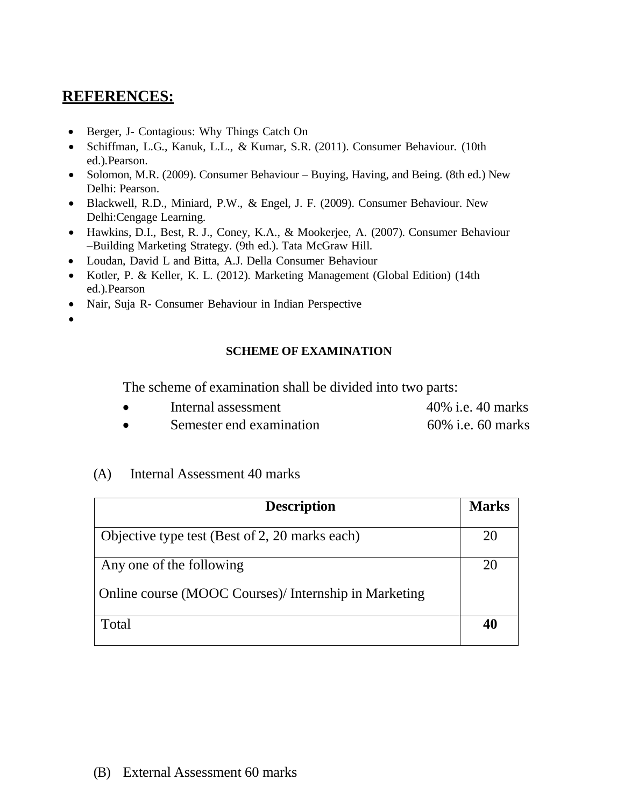# **REFERENCES:**

- Berger, J- Contagious: Why Things Catch On
- Schiffman, L.G., Kanuk, L.L., & Kumar, S.R. (2011). Consumer Behaviour. (10th ed.).Pearson.
- Solomon, M.R. (2009). Consumer Behaviour Buying, Having, and Being. (8th ed.) New Delhi: Pearson.
- Blackwell, R.D., Miniard, P.W., & Engel, J. F. (2009). Consumer Behaviour. New Delhi:Cengage Learning.
- Hawkins, D.I., Best, R. J., Coney, K.A., & Mookerjee, A. (2007). Consumer Behaviour –Building Marketing Strategy. (9th ed.). Tata McGraw Hill.
- Loudan, David L and Bitta, A.J. Della Consumer Behaviour
- Kotler, P. & Keller, K. L. (2012). Marketing Management (Global Edition) (14th ed.).Pearson
- Nair, Suja R- Consumer Behaviour in Indian Perspective
- •

### **SCHEME OF EXAMINATION**

The scheme of examination shall be divided into two parts:

| Internal assessment      | 40% i.e. 40 marks |
|--------------------------|-------------------|
| Semester end examination | 60% i.e. 60 marks |

### (A) Internal Assessment 40 marks

| <b>Description</b>                                    | <b>Marks</b> |
|-------------------------------------------------------|--------------|
|                                                       |              |
| Objective type test (Best of 2, 20 marks each)        | 20           |
| Any one of the following                              | 20           |
| Online course (MOOC Courses)/ Internship in Marketing |              |
| Total                                                 | 40           |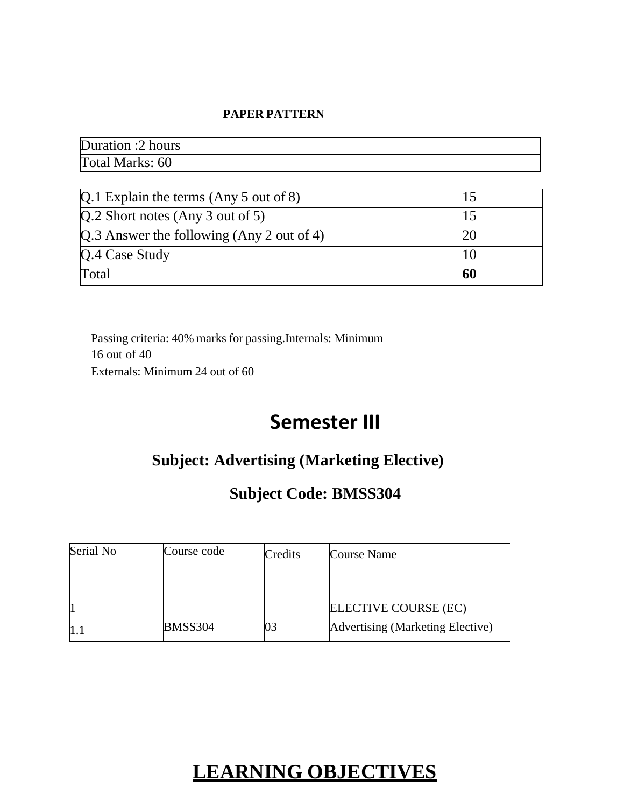#### **PAPER PATTERN**

Duration :2 hours Total Marks: 60

| $Q.1$ Explain the terms (Any 5 out of 8)    |    |
|---------------------------------------------|----|
| $[Q.2$ Short notes (Any 3 out of 5)         |    |
| $Q.3$ Answer the following (Any 2 out of 4) | 20 |
| $Q.4$ Case Study                            |    |
| Total                                       | 60 |

Passing criteria: 40% marks for passing.Internals: Minimum 16 out of 40 Externals: Minimum 24 out of 60

# **Semester III**

# **Subject: Advertising (Marketing Elective)**

# **Subject Code: BMSS304**

| Serial No | Course code    | Credits | Course Name                      |
|-----------|----------------|---------|----------------------------------|
|           |                |         |                                  |
|           |                |         |                                  |
|           |                |         | ELECTIVE COURSE (EC)             |
|           | <b>BMSS304</b> | 03      | Advertising (Marketing Elective) |

# **LEARNING OBJECTIVES**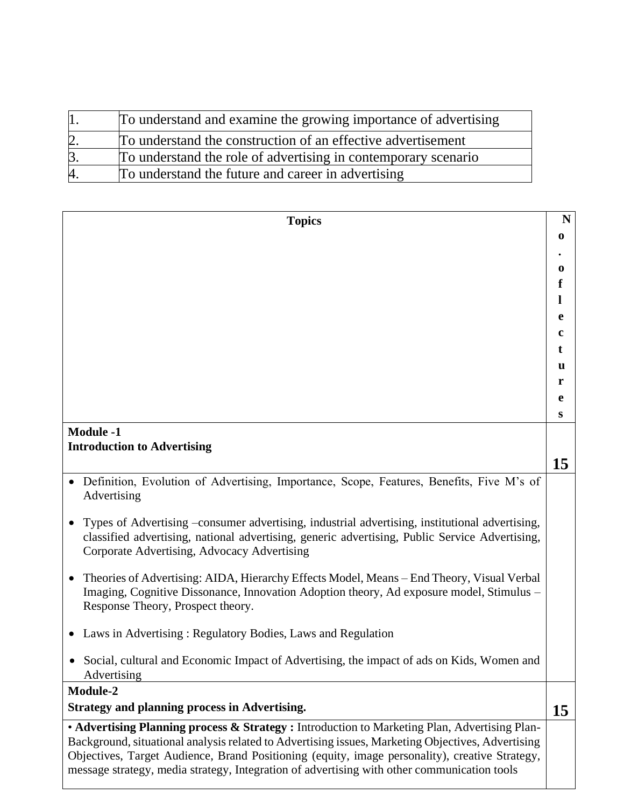|         | To understand and examine the growing importance of advertising |
|---------|-----------------------------------------------------------------|
|         | To understand the construction of an effective advertisement    |
| $\beta$ | To understand the role of advertising in contemporary scenario  |
| 4.      | To understand the future and career in advertising              |

| <b>Topics</b>                                                                                                                                                                                                                                                                                      | N        |
|----------------------------------------------------------------------------------------------------------------------------------------------------------------------------------------------------------------------------------------------------------------------------------------------------|----------|
|                                                                                                                                                                                                                                                                                                    | $\bf{0}$ |
|                                                                                                                                                                                                                                                                                                    |          |
|                                                                                                                                                                                                                                                                                                    | 0        |
|                                                                                                                                                                                                                                                                                                    | f        |
|                                                                                                                                                                                                                                                                                                    | 1        |
|                                                                                                                                                                                                                                                                                                    | e        |
|                                                                                                                                                                                                                                                                                                    | c        |
|                                                                                                                                                                                                                                                                                                    | t        |
|                                                                                                                                                                                                                                                                                                    | u        |
|                                                                                                                                                                                                                                                                                                    | r        |
|                                                                                                                                                                                                                                                                                                    | e        |
|                                                                                                                                                                                                                                                                                                    | S        |
| <b>Module -1</b>                                                                                                                                                                                                                                                                                   |          |
| <b>Introduction to Advertising</b>                                                                                                                                                                                                                                                                 |          |
|                                                                                                                                                                                                                                                                                                    | 15       |
| Definition, Evolution of Advertising, Importance, Scope, Features, Benefits, Five M's of<br>Advertising                                                                                                                                                                                            |          |
| Types of Advertising –consumer advertising, industrial advertising, institutional advertising,<br>classified advertising, national advertising, generic advertising, Public Service Advertising,<br>Corporate Advertising, Advocacy Advertising                                                    |          |
| Theories of Advertising: AIDA, Hierarchy Effects Model, Means - End Theory, Visual Verbal<br>Imaging, Cognitive Dissonance, Innovation Adoption theory, Ad exposure model, Stimulus –<br>Response Theory, Prospect theory.                                                                         |          |
| Laws in Advertising: Regulatory Bodies, Laws and Regulation                                                                                                                                                                                                                                        |          |
| Social, cultural and Economic Impact of Advertising, the impact of ads on Kids, Women and<br>Advertising                                                                                                                                                                                           |          |
| Module-2                                                                                                                                                                                                                                                                                           |          |
| <b>Strategy and planning process in Advertising.</b>                                                                                                                                                                                                                                               | 15       |
| • Advertising Planning process & Strategy : Introduction to Marketing Plan, Advertising Plan-                                                                                                                                                                                                      |          |
| Background, situational analysis related to Advertising issues, Marketing Objectives, Advertising<br>Objectives, Target Audience, Brand Positioning (equity, image personality), creative Strategy,<br>message strategy, media strategy, Integration of advertising with other communication tools |          |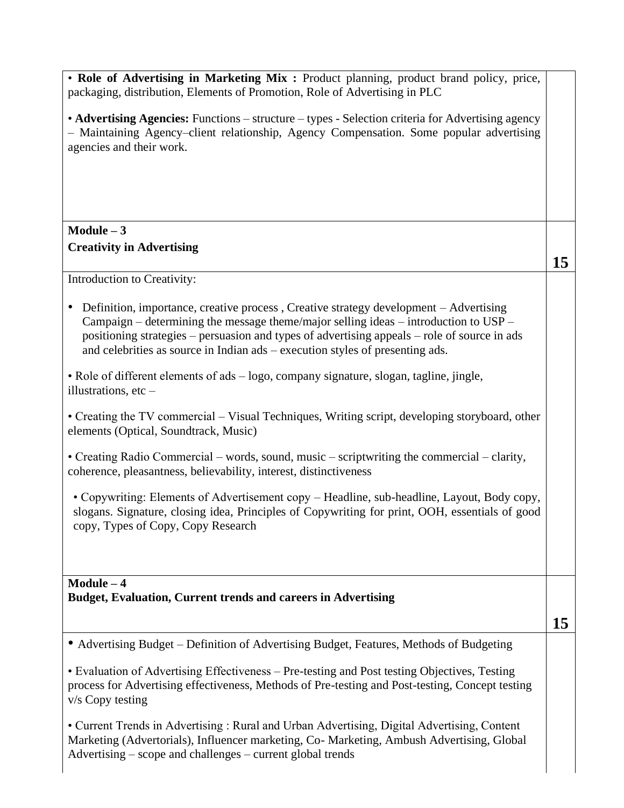| • Role of Advertising in Marketing Mix : Product planning, product brand policy, price,<br>packaging, distribution, Elements of Promotion, Role of Advertising in PLC                                                                                                                                                                                          |    |
|----------------------------------------------------------------------------------------------------------------------------------------------------------------------------------------------------------------------------------------------------------------------------------------------------------------------------------------------------------------|----|
| • Advertising Agencies: Functions – structure – types - Selection criteria for Advertising agency<br>- Maintaining Agency-client relationship, Agency Compensation. Some popular advertising<br>agencies and their work.                                                                                                                                       |    |
|                                                                                                                                                                                                                                                                                                                                                                |    |
| $Module - 3$                                                                                                                                                                                                                                                                                                                                                   |    |
| <b>Creativity in Advertising</b>                                                                                                                                                                                                                                                                                                                               | 15 |
| Introduction to Creativity:                                                                                                                                                                                                                                                                                                                                    |    |
| Definition, importance, creative process, Creative strategy development – Advertising<br>Campaign - determining the message theme/major selling ideas - introduction to USP -<br>positioning strategies - persuasion and types of advertising appeals - role of source in ads<br>and celebrities as source in Indian ads – execution styles of presenting ads. |    |
| • Role of different elements of ads – logo, company signature, slogan, tagline, jingle,<br>illustrations, $etc-$                                                                                                                                                                                                                                               |    |
| • Creating the TV commercial – Visual Techniques, Writing script, developing storyboard, other<br>elements (Optical, Soundtrack, Music)                                                                                                                                                                                                                        |    |
| • Creating Radio Commercial – words, sound, music – scriptwriting the commercial – clarity,<br>coherence, pleasantness, believability, interest, distinctiveness                                                                                                                                                                                               |    |
| • Copywriting: Elements of Advertisement copy – Headline, sub-headline, Layout, Body copy,<br>slogans. Signature, closing idea, Principles of Copywriting for print, OOH, essentials of good<br>copy, Types of Copy, Copy Research                                                                                                                             |    |
| $Module - 4$                                                                                                                                                                                                                                                                                                                                                   |    |
| <b>Budget, Evaluation, Current trends and careers in Advertising</b>                                                                                                                                                                                                                                                                                           |    |
|                                                                                                                                                                                                                                                                                                                                                                | 15 |
| • Advertising Budget – Definition of Advertising Budget, Features, Methods of Budgeting                                                                                                                                                                                                                                                                        |    |
| • Evaluation of Advertising Effectiveness – Pre-testing and Post testing Objectives, Testing<br>process for Advertising effectiveness, Methods of Pre-testing and Post-testing, Concept testing<br>v/s Copy testing                                                                                                                                            |    |
| • Current Trends in Advertising: Rural and Urban Advertising, Digital Advertising, Content<br>Marketing (Advertorials), Influencer marketing, Co- Marketing, Ambush Advertising, Global<br>Advertising – scope and challenges – current global trends                                                                                                          |    |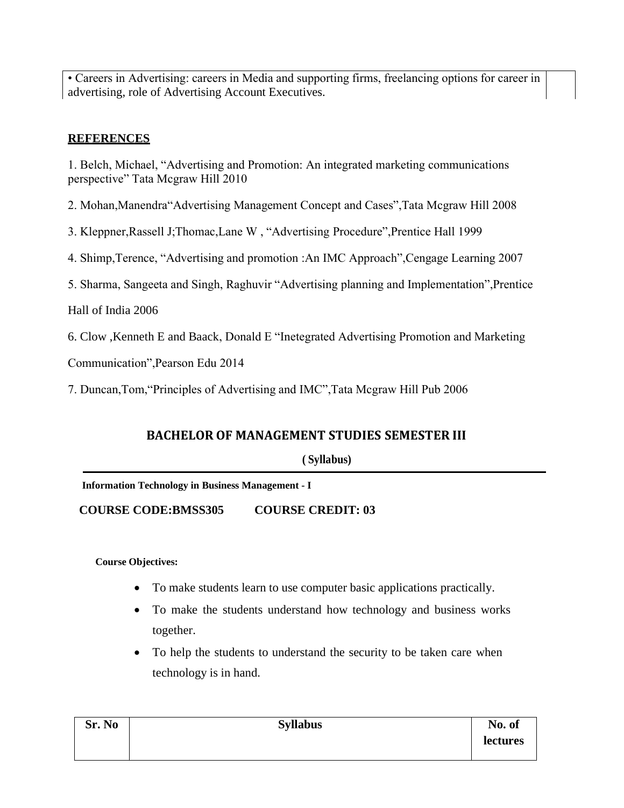• Careers in Advertising: careers in Media and supporting firms, freelancing options for career in advertising, role of Advertising Account Executives.

### **REFERENCES**

1. Belch, Michael, "Advertising and Promotion: An integrated marketing communications perspective" Tata Mcgraw Hill 2010

2. Mohan,Manendra"Advertising Management Concept and Cases",Tata Mcgraw Hill 2008

3. Kleppner,Rassell J;Thomac,Lane W , "Advertising Procedure",Prentice Hall 1999

4. Shimp,Terence, "Advertising and promotion :An IMC Approach",Cengage Learning 2007

5. Sharma, Sangeeta and Singh, Raghuvir "Advertising planning and Implementation",Prentice

Hall of India 2006

6. Clow ,Kenneth E and Baack, Donald E "Inetegrated Advertising Promotion and Marketing

Communication",Pearson Edu 2014

7. Duncan,Tom,"Principles of Advertising and IMC",Tata Mcgraw Hill Pub 2006

### **BACHELOR OF MANAGEMENT STUDIES SEMESTER III**

**( Syllabus)**

**Information Technology in Business Management - I**

**COURSE CODE:BMSS305 COURSE CREDIT: 03**

#### **Course Objectives:**

- To make students learn to use computer basic applications practically.
- To make the students understand how technology and business works together.
- To help the students to understand the security to be taken care when technology is in hand.

| Sr. No | <b>Syllabus</b> | No. of   |
|--------|-----------------|----------|
|        |                 | lectures |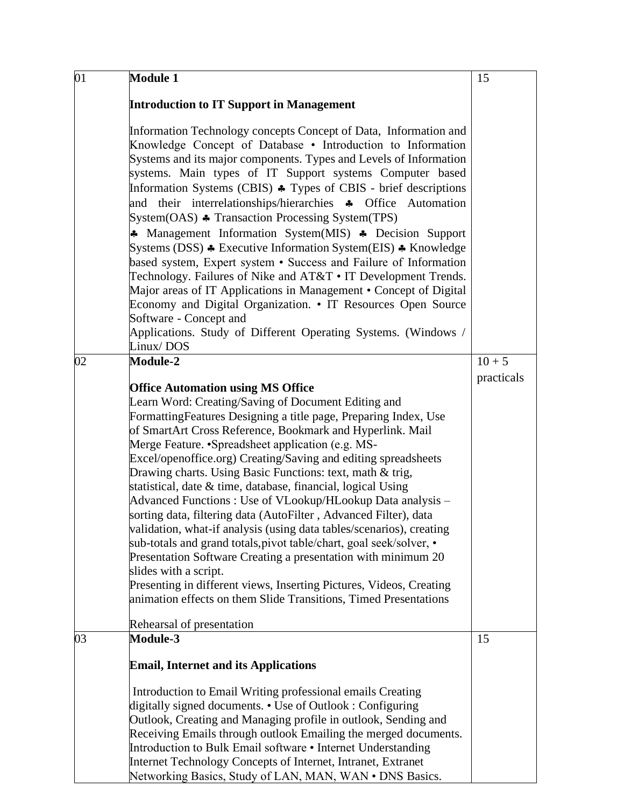| 01 | <b>Module 1</b>                                                                                                                                                                                                                                                                                                                                                                                                                                                                                                                                                                                                                                                                                                                                                                                                                                                                                                                                                                                                                          | 15         |
|----|------------------------------------------------------------------------------------------------------------------------------------------------------------------------------------------------------------------------------------------------------------------------------------------------------------------------------------------------------------------------------------------------------------------------------------------------------------------------------------------------------------------------------------------------------------------------------------------------------------------------------------------------------------------------------------------------------------------------------------------------------------------------------------------------------------------------------------------------------------------------------------------------------------------------------------------------------------------------------------------------------------------------------------------|------------|
|    | <b>Introduction to IT Support in Management</b>                                                                                                                                                                                                                                                                                                                                                                                                                                                                                                                                                                                                                                                                                                                                                                                                                                                                                                                                                                                          |            |
|    | Information Technology concepts Concept of Data, Information and<br>Knowledge Concept of Database • Introduction to Information<br>Systems and its major components. Types and Levels of Information<br>systems. Main types of IT Support systems Computer based<br>Information Systems (CBIS) $\triangle$ Types of CBIS - brief descriptions<br>and their interrelationships/hierarchies * Office<br>Automation<br>System(OAS) ♣ Transaction Processing System(TPS)<br>* Management Information System(MIS) * Decision Support<br>Systems (DSS) ♣ Executive Information System(EIS) ♣ Knowledge<br>based system, Expert system • Success and Failure of Information<br>Technology. Failures of Nike and AT&T • IT Development Trends.<br>Major areas of IT Applications in Management • Concept of Digital<br>Economy and Digital Organization. • IT Resources Open Source<br>Software - Concept and<br>Applications. Study of Different Operating Systems. (Windows /<br>Linux/DOS                                                     |            |
| 02 | <b>Module-2</b>                                                                                                                                                                                                                                                                                                                                                                                                                                                                                                                                                                                                                                                                                                                                                                                                                                                                                                                                                                                                                          | $10 + 5$   |
|    | <b>Office Automation using MS Office</b><br>Learn Word: Creating/Saving of Document Editing and<br>Formatting Features Designing a title page, Preparing Index, Use<br>of SmartArt Cross Reference, Bookmark and Hyperlink. Mail<br>Merge Feature. • Spreadsheet application (e.g. MS-<br>Excel/openoffice.org) Creating/Saving and editing spreadsheets<br>Drawing charts. Using Basic Functions: text, math & trig,<br>statistical, date & time, database, financial, logical Using<br>Advanced Functions: Use of VLookup/HLookup Data analysis –<br>sorting data, filtering data (AutoFilter, Advanced Filter), data<br>validation, what-if analysis (using data tables/scenarios), creating<br>sub-totals and grand totals, pivot table/chart, goal seek/solver, •<br>Presentation Software Creating a presentation with minimum 20<br>slides with a script.<br>Presenting in different views, Inserting Pictures, Videos, Creating<br>animation effects on them Slide Transitions, Timed Presentations<br>Rehearsal of presentation | practicals |
| 03 | <b>Module-3</b>                                                                                                                                                                                                                                                                                                                                                                                                                                                                                                                                                                                                                                                                                                                                                                                                                                                                                                                                                                                                                          | 15         |
|    | <b>Email, Internet and its Applications</b>                                                                                                                                                                                                                                                                                                                                                                                                                                                                                                                                                                                                                                                                                                                                                                                                                                                                                                                                                                                              |            |
|    | Introduction to Email Writing professional emails Creating<br>digitally signed documents. • Use of Outlook: Configuring<br>Outlook, Creating and Managing profile in outlook, Sending and<br>Receiving Emails through outlook Emailing the merged documents.<br>Introduction to Bulk Email software • Internet Understanding<br>Internet Technology Concepts of Internet, Intranet, Extranet<br>Networking Basics, Study of LAN, MAN, WAN . DNS Basics.                                                                                                                                                                                                                                                                                                                                                                                                                                                                                                                                                                                  |            |

 $\mathbf l$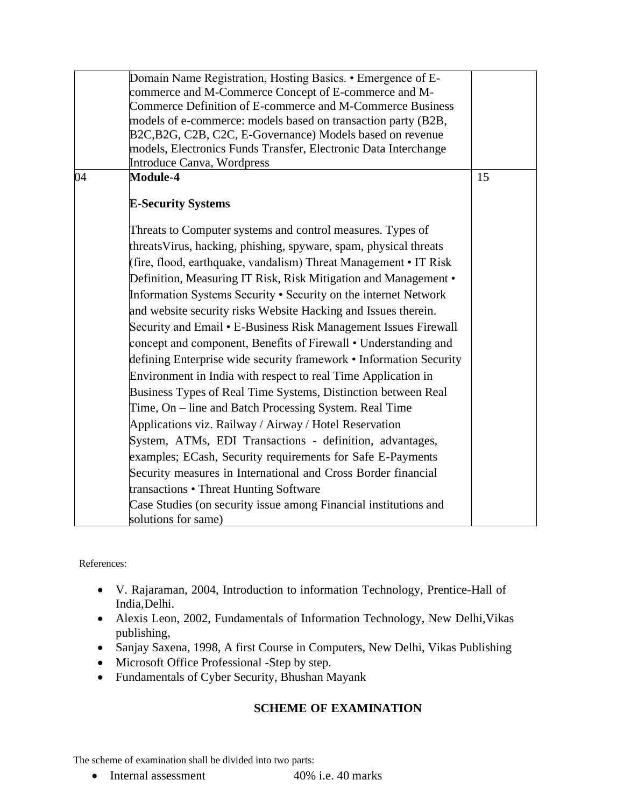|    | Domain Name Registration, Hosting Basics. • Emergence of E-<br>commerce and M-Commerce Concept of E-commerce and M- |    |
|----|---------------------------------------------------------------------------------------------------------------------|----|
|    | Commerce Definition of E-commerce and M-Commerce Business                                                           |    |
|    | models of e-commerce: models based on transaction party (B2B,                                                       |    |
|    | B2C, B2G, C2B, C2C, E-Governance) Models based on revenue                                                           |    |
|    | models, Electronics Funds Transfer, Electronic Data Interchange                                                     |    |
|    | Introduce Canva, Wordpress                                                                                          |    |
| 04 | <b>Module-4</b>                                                                                                     | 15 |
|    | <b>E-Security Systems</b>                                                                                           |    |
|    | Threats to Computer systems and control measures. Types of                                                          |    |
|    | threats Virus, hacking, phishing, spyware, spam, physical threats                                                   |    |
|    | (fire, flood, earthquake, vandalism) Threat Management • IT Risk                                                    |    |
|    | Definition, Measuring IT Risk, Risk Mitigation and Management •                                                     |    |
|    | Information Systems Security • Security on the internet Network                                                     |    |
|    | and website security risks Website Hacking and Issues therein.                                                      |    |
|    | Security and Email • E-Business Risk Management Issues Firewall                                                     |    |
|    | concept and component, Benefits of Firewall • Understanding and                                                     |    |
|    | defining Enterprise wide security framework • Information Security                                                  |    |
|    | Environment in India with respect to real Time Application in                                                       |    |
|    | Business Types of Real Time Systems, Distinction between Real                                                       |    |
|    | Time, On – line and Batch Processing System. Real Time                                                              |    |
|    | Applications viz. Railway / Airway / Hotel Reservation                                                              |    |
|    | System, ATMs, EDI Transactions - definition, advantages,                                                            |    |
|    | examples; ECash, Security requirements for Safe E-Payments                                                          |    |
|    | Security measures in International and Cross Border financial                                                       |    |
|    | transactions • Threat Hunting Software                                                                              |    |
|    | Case Studies (on security issue among Financial institutions and                                                    |    |
|    | solutions for same)                                                                                                 |    |

References:

- V. Rajaraman, 2004, Introduction to information Technology, Prentice-Hall of India,Delhi.
- Alexis Leon, 2002, Fundamentals of Information Technology, New Delhi,Vikas publishing,
- Sanjay Saxena, 1998, A first Course in Computers, New Delhi, Vikas Publishing
- Microsoft Office Professional -Step by step.
- Fundamentals of Cyber Security, Bhushan Mayank

### **SCHEME OF EXAMINATION**

The scheme of examination shall be divided into two parts:

• Internal assessment 40% i.e. 40 marks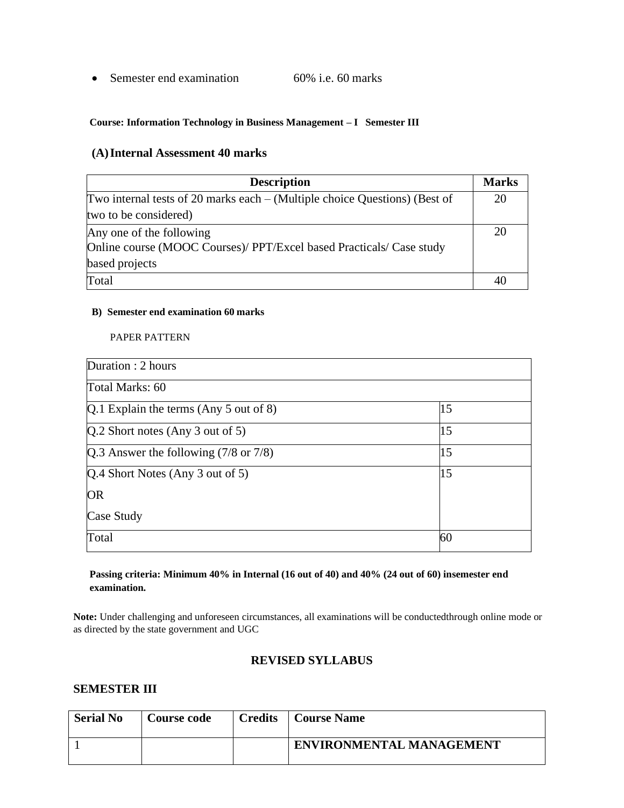• Semester end examination 60% i.e. 60 marks

#### **Course: Information Technology in Business Management – I Semester III**

#### **(A)Internal Assessment 40 marks**

| <b>Description</b>                                                           | <b>Marks</b> |
|------------------------------------------------------------------------------|--------------|
| Two internal tests of 20 marks each $-$ (Multiple choice Questions) (Best of | 20           |
| two to be considered)                                                        |              |
| Any one of the following                                                     | 20           |
| Online course (MOOC Courses)/ PPT/Excel based Practicals/ Case study         |              |
| based projects                                                               |              |
| Total                                                                        | 40           |

#### **B) Semester end examination 60 marks**

PAPER PATTERN

| Duration : 2 hours                               |    |
|--------------------------------------------------|----|
| Total Marks: 60                                  |    |
| $Q.1$ Explain the terms (Any 5 out of 8)         | 15 |
| $[Q.2$ Short notes (Any 3 out of 5)              | 15 |
| Q.3 Answer the following $(7/8 \text{ or } 7/8)$ | 15 |
| Q.4 Short Notes (Any 3 out of 5)                 | 15 |
| <b>OR</b>                                        |    |
| Case Study                                       |    |
| Total                                            | 60 |

#### **Passing criteria: Minimum 40% in Internal (16 out of 40) and 40% (24 out of 60) insemester end examination.**

**Note:** Under challenging and unforeseen circumstances, all examinations will be conductedthrough online mode or as directed by the state government and UGC

#### **REVISED SYLLABUS**

#### **SEMESTER III**

| <b>Serial No</b> | <b>Course code</b> | <b>Credits</b> | Course Name                     |
|------------------|--------------------|----------------|---------------------------------|
|                  |                    |                | <b>ENVIRONMENTAL MANAGEMENT</b> |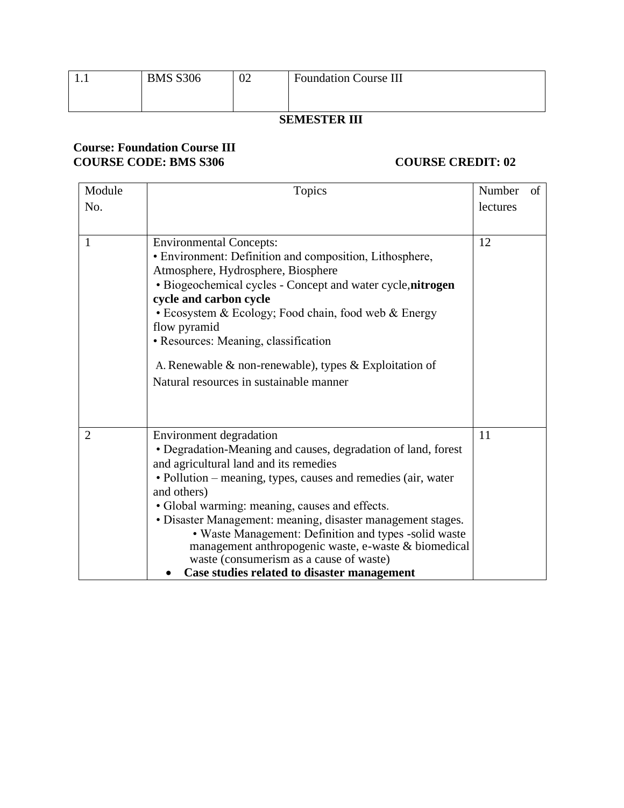|   |                 |    | _________________            |
|---|-----------------|----|------------------------------|
|   |                 |    |                              |
|   |                 |    |                              |
|   |                 |    |                              |
|   |                 |    |                              |
| . | <b>BMS S306</b> | 02 | <b>Foundation Course III</b> |
|   |                 |    |                              |

#### **SEMESTER III**

#### **Course: Foundation Course III COURSE CODE: BMS S306 COURSE CREDIT: 02**

| Module         | Topics                                                                                                                                                                                                                                                                                                                                                                                                                                                                                                                                         | Number   | of |
|----------------|------------------------------------------------------------------------------------------------------------------------------------------------------------------------------------------------------------------------------------------------------------------------------------------------------------------------------------------------------------------------------------------------------------------------------------------------------------------------------------------------------------------------------------------------|----------|----|
| No.            |                                                                                                                                                                                                                                                                                                                                                                                                                                                                                                                                                | lectures |    |
|                |                                                                                                                                                                                                                                                                                                                                                                                                                                                                                                                                                |          |    |
| 1              | <b>Environmental Concepts:</b><br>• Environment: Definition and composition, Lithosphere,<br>Atmosphere, Hydrosphere, Biosphere<br>• Biogeochemical cycles - Concept and water cycle, nitrogen<br>cycle and carbon cycle<br>• Ecosystem & Ecology; Food chain, food web & Energy<br>flow pyramid<br>• Resources: Meaning, classification<br>A. Renewable $\&$ non-renewable), types $\&$ Exploitation of<br>Natural resources in sustainable manner                                                                                            | 12       |    |
| $\overline{2}$ | Environment degradation<br>• Degradation-Meaning and causes, degradation of land, forest<br>and agricultural land and its remedies<br>· Pollution – meaning, types, causes and remedies (air, water<br>and others)<br>• Global warming: meaning, causes and effects.<br>• Disaster Management: meaning, disaster management stages.<br>• Waste Management: Definition and types -solid waste<br>management anthropogenic waste, e-waste & biomedical<br>waste (consumerism as a cause of waste)<br>Case studies related to disaster management | 11       |    |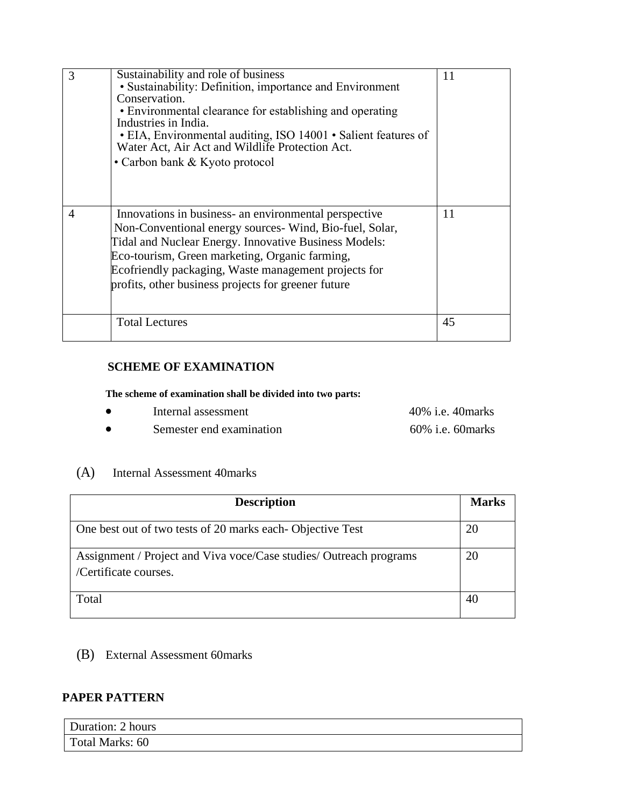| 3 | Sustainability and role of business<br>• Sustainability: Definition, importance and Environment<br>Conservation.<br>• Environmental clearance for establishing and operating<br>Industries in India.<br>· EIA, Environmental auditing, ISO 14001 · Salient features of<br>Water Act, Air Act and Wildlife Protection Act.<br>• Carbon bank & Kyoto protocol | 11 |
|---|-------------------------------------------------------------------------------------------------------------------------------------------------------------------------------------------------------------------------------------------------------------------------------------------------------------------------------------------------------------|----|
| 4 | Innovations in business- an environmental perspective<br>Non-Conventional energy sources- Wind, Bio-fuel, Solar,<br>Tidal and Nuclear Energy. Innovative Business Models:<br>Eco-tourism, Green marketing, Organic farming,<br>Ecofriendly packaging, Waste management projects for<br>profits, other business projects for greener future                  | 11 |
|   | <b>Total Lectures</b>                                                                                                                                                                                                                                                                                                                                       | 45 |

#### **SCHEME OF EXAMINATION**

**The scheme of examination shall be divided into two parts:**

- Internal assessment 40% i.e. 40marks
- Semester end examination 60% i.e. 60marks

#### (A) Internal Assessment 40marks

| <b>Description</b>                                                                          | <b>Marks</b> |
|---------------------------------------------------------------------------------------------|--------------|
| One best out of two tests of 20 marks each-Objective Test                                   | 20           |
| Assignment / Project and Viva voce/Case studies/ Outreach programs<br>/Certificate courses. | 20           |
| Total                                                                                       | 40           |

(B) External Assessment 60marks

#### **PAPER PATTERN**

| Duration: 2 hours |  |
|-------------------|--|
| Total Marks: 60   |  |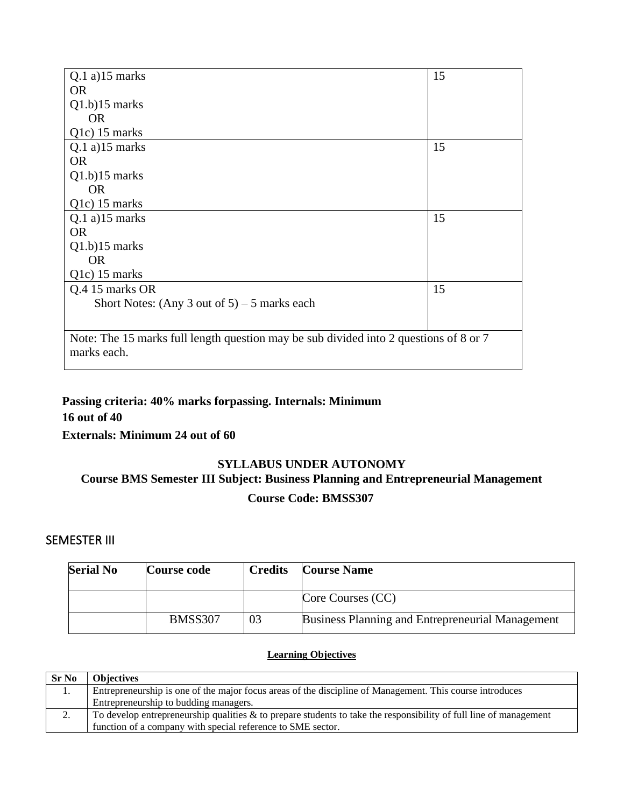| $Q.1$ a) $15$ marks                                                                   | 15 |
|---------------------------------------------------------------------------------------|----|
| <b>OR</b>                                                                             |    |
| $Q1.b$ ) $15$ marks                                                                   |    |
| <b>OR</b>                                                                             |    |
| Q <sub>1</sub> c) 15 marks                                                            |    |
| $Q.1$ a) $15$ marks                                                                   | 15 |
| <b>OR</b>                                                                             |    |
| $Q1.b$ ) $15$ marks                                                                   |    |
| <b>OR</b>                                                                             |    |
| Q1c) 15 marks                                                                         |    |
| $Q.1$ a) $15$ marks                                                                   | 15 |
| <b>OR</b>                                                                             |    |
| $Q1.b$ ) $15$ marks                                                                   |    |
| <b>OR</b>                                                                             |    |
| Q1c) 15 marks                                                                         |    |
| Q.4 15 marks OR                                                                       | 15 |
| Short Notes: (Any 3 out of $5$ ) – 5 marks each                                       |    |
|                                                                                       |    |
| Note: The 15 marks full length question may be sub divided into 2 questions of 8 or 7 |    |
| marks each.                                                                           |    |
|                                                                                       |    |

### **Passing criteria: 40% marks forpassing. Internals: Minimum 16 out of 40 Externals: Minimum 24 out of 60**

# **SYLLABUS UNDER AUTONOMY Course BMS Semester III Subject: Business Planning and Entrepreneurial Management Course Code: BMSS307**

#### SEMESTER III

| <b>Serial No</b> | Course code    | <b>Credits</b> | <b>Course Name</b>                               |
|------------------|----------------|----------------|--------------------------------------------------|
|                  |                |                | Core Courses (CC)                                |
|                  | <b>BMSS307</b> | 03             | Business Planning and Entrepreneurial Management |

#### **Learning Objectives**

| <b>Sr No</b> | <b>Objectives</b>                                                                                                    |
|--------------|----------------------------------------------------------------------------------------------------------------------|
| 1.           | Entrepreneurship is one of the major focus areas of the discipline of Management. This course introduces             |
|              | Entrepreneurship to budding managers.                                                                                |
| Ζ.           | To develop entrepreneurship qualities $\&$ to prepare students to take the responsibility of full line of management |
|              | function of a company with special reference to SME sector.                                                          |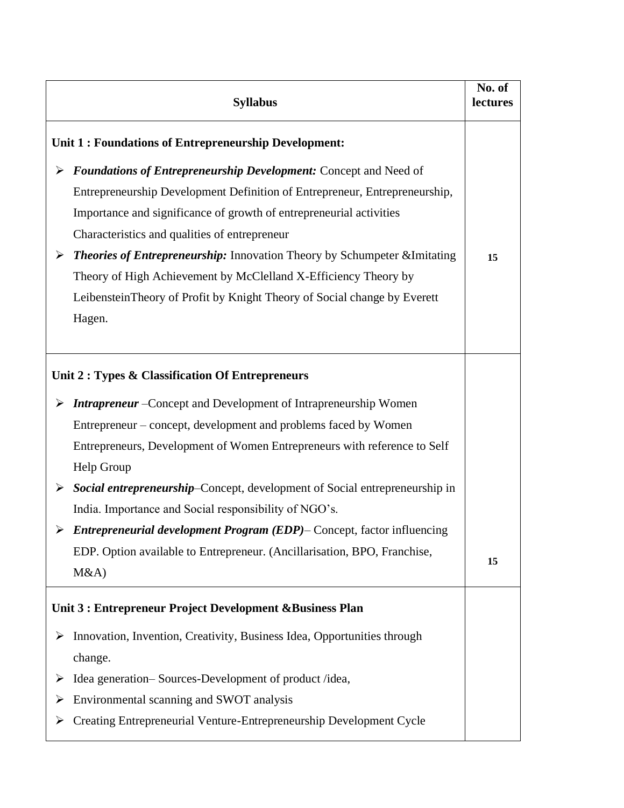|   | <b>Syllabus</b>                                                                                                                                   | No. of<br>lectures |
|---|---------------------------------------------------------------------------------------------------------------------------------------------------|--------------------|
|   | Unit 1: Foundations of Entrepreneurship Development:                                                                                              |                    |
| ➤ | <b>Foundations of Entrepreneurship Development: Concept and Need of</b>                                                                           |                    |
|   | Entrepreneurship Development Definition of Entrepreneur, Entrepreneurship,<br>Importance and significance of growth of entrepreneurial activities |                    |
|   | Characteristics and qualities of entrepreneur                                                                                                     |                    |
| ➤ | <b>Theories of Entrepreneurship:</b> Innovation Theory by Schumpeter & Imitating                                                                  | 15                 |
|   | Theory of High Achievement by McClelland X-Efficiency Theory by                                                                                   |                    |
|   | Leibenstein Theory of Profit by Knight Theory of Social change by Everett                                                                         |                    |
|   | Hagen.                                                                                                                                            |                    |
|   |                                                                                                                                                   |                    |
|   | Unit 2 : Types & Classification Of Entrepreneurs                                                                                                  |                    |
| ➤ | <b>Intrapreneur</b> – Concept and Development of Intrapreneurship Women                                                                           |                    |
|   | Entrepreneur – concept, development and problems faced by Women                                                                                   |                    |
|   | Entrepreneurs, Development of Women Entrepreneurs with reference to Self                                                                          |                    |
|   | Help Group                                                                                                                                        |                    |
| ➤ | Social entrepreneurship-Concept, development of Social entrepreneurship in                                                                        |                    |
|   | India. Importance and Social responsibility of NGO's.                                                                                             |                    |
|   | $\triangleright$ Entrepreneurial development Program (EDP)– Concept, factor influencing                                                           |                    |
|   | EDP. Option available to Entrepreneur. (Ancillarisation, BPO, Franchise,                                                                          | 15                 |
|   | M&A                                                                                                                                               |                    |
|   | Unit 3 : Entrepreneur Project Development & Business Plan                                                                                         |                    |
|   | $\triangleright$ Innovation, Invention, Creativity, Business Idea, Opportunities through                                                          |                    |
|   | change.                                                                                                                                           |                    |
|   | Idea generation-Sources-Development of product /idea,                                                                                             |                    |
| ➤ | Environmental scanning and SWOT analysis                                                                                                          |                    |
|   | Creating Entrepreneurial Venture-Entrepreneurship Development Cycle                                                                               |                    |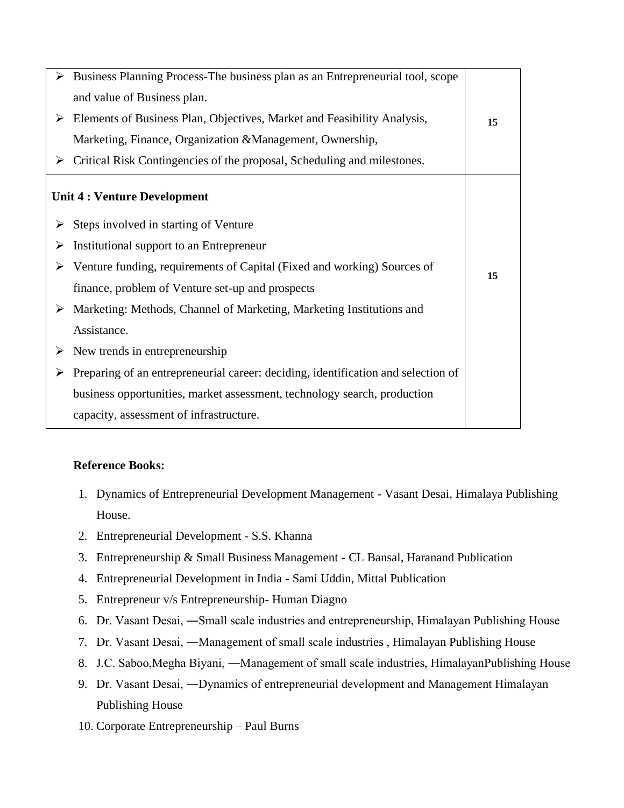| ➤ | Business Planning Process-The business plan as an Entrepreneurial tool, scope            |    |
|---|------------------------------------------------------------------------------------------|----|
|   | and value of Business plan.                                                              |    |
|   | $\triangleright$ Elements of Business Plan, Objectives, Market and Feasibility Analysis, | 15 |
|   | Marketing, Finance, Organization & Management, Ownership,                                |    |
|   | $\triangleright$ Critical Risk Contingencies of the proposal, Scheduling and milestones. |    |
|   | <b>Unit 4: Venture Development</b>                                                       |    |
|   | $\triangleright$ Steps involved in starting of Venture                                   |    |
| ➤ | Institutional support to an Entrepreneur                                                 |    |
|   | $\triangleright$ Venture funding, requirements of Capital (Fixed and working) Sources of | 15 |
|   | finance, problem of Venture set-up and prospects                                         |    |
|   | > Marketing: Methods, Channel of Marketing, Marketing Institutions and                   |    |
|   | Assistance.                                                                              |    |
|   | $\triangleright$ New trends in entrepreneurship                                          |    |
| ➤ | Preparing of an entrepreneurial career: deciding, identification and selection of        |    |
|   | business opportunities, market assessment, technology search, production                 |    |
|   | capacity, assessment of infrastructure.                                                  |    |

#### **Reference Books:**

- 1. Dynamics of Entrepreneurial Development Management Vasant Desai, Himalaya Publishing House.
- 2. Entrepreneurial Development S.S. Khanna
- 3. Entrepreneurship & Small Business Management CL Bansal, Haranand Publication
- 4. Entrepreneurial Development in India Sami Uddin, Mittal Publication
- 5. Entrepreneur v/s Entrepreneurship- Human Diagno
- 6. Dr. Vasant Desai, ―Small scale industries and entrepreneurship, Himalayan Publishing House
- 7. Dr. Vasant Desai, ―Management of small scale industries , Himalayan Publishing House
- 8. J.C. Saboo,Megha Biyani, ―Management of small scale industries, HimalayanPublishing House
- 9. Dr. Vasant Desai, ―Dynamics of entrepreneurial development and Management Himalayan Publishing House
- 10. Corporate Entrepreneurship Paul Burns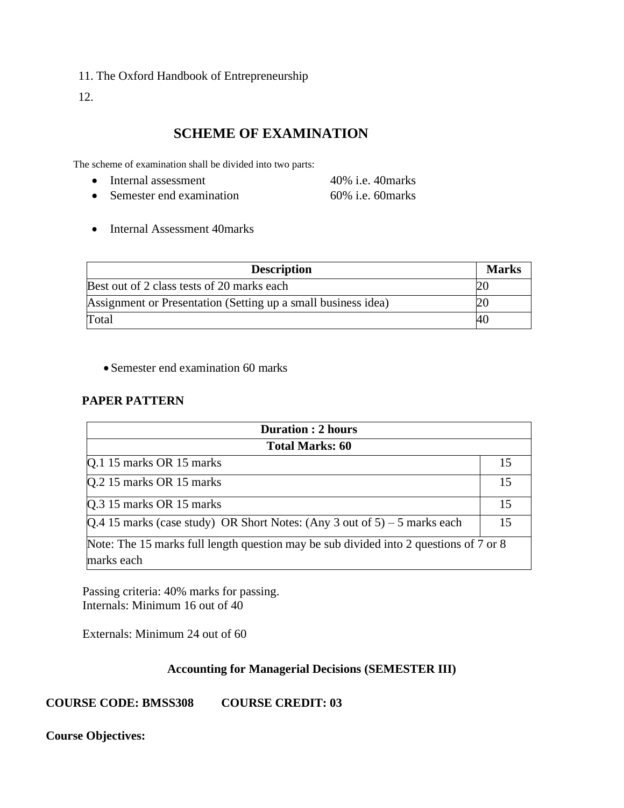11. The Oxford Handbook of Entrepreneurship

12.

# **SCHEME OF EXAMINATION**

The scheme of examination shall be divided into two parts:

- Internal assessment 40% i.e. 40marks
- Semester end examination 60% i.e. 60marks
- Internal Assessment 40marks

| <b>Description</b>                                            | <b>Marks</b> |
|---------------------------------------------------------------|--------------|
| Best out of 2 class tests of 20 marks each                    |              |
| Assignment or Presentation (Setting up a small business idea) | 20           |
| Total                                                         | -40          |

• Semester end examination 60 marks

#### **PAPER PATTERN**

| <b>Duration: 2 hours</b>                                                              |    |  |
|---------------------------------------------------------------------------------------|----|--|
| <b>Total Marks: 60</b>                                                                |    |  |
| Q.1 15 marks OR 15 marks                                                              | 15 |  |
| Q.2 15 marks OR 15 marks                                                              | 15 |  |
| Q.3 15 marks OR 15 marks                                                              | 15 |  |
| $[Q.4 15$ marks (case study) OR Short Notes: (Any 3 out of 5) – 5 marks each          | 15 |  |
| Note: The 15 marks full length question may be sub divided into 2 questions of 7 or 8 |    |  |
| marks each                                                                            |    |  |

Passing criteria: 40% marks for passing. Internals: Minimum 16 out of 40

Externals: Minimum 24 out of 60

#### **Accounting for Managerial Decisions (SEMESTER III)**

**COURSE CODE: BMSS308 COURSE CREDIT: 03**

**Course Objectives:**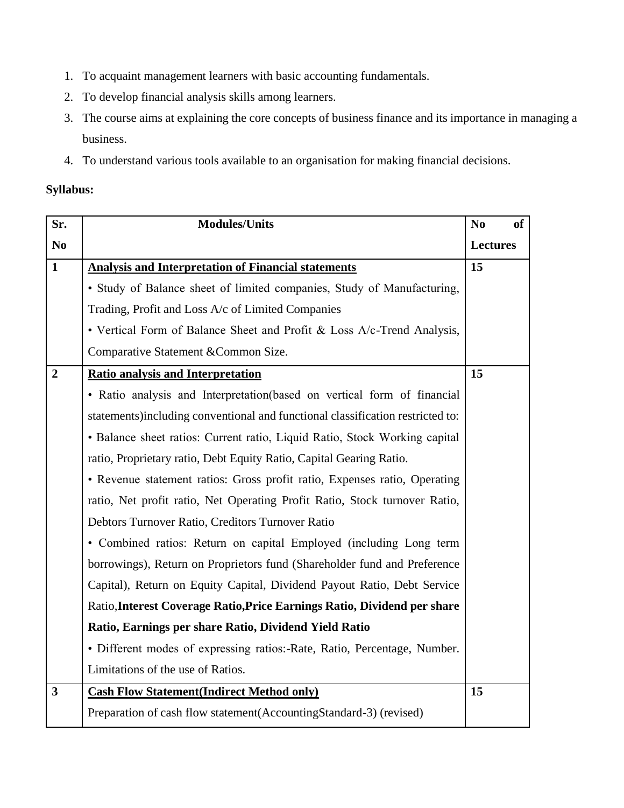- 1. To acquaint management learners with basic accounting fundamentals.
- 2. To develop financial analysis skills among learners.
- 3. The course aims at explaining the core concepts of business finance and its importance in managing a business.
- 4. To understand various tools available to an organisation for making financial decisions.

#### **Syllabus:**

| Sr.            | <b>Modules/Units</b>                                                           |                 | <b>of</b> |
|----------------|--------------------------------------------------------------------------------|-----------------|-----------|
| N <sub>0</sub> |                                                                                | <b>Lectures</b> |           |
| $\mathbf{1}$   | <b>Analysis and Interpretation of Financial statements</b>                     | 15              |           |
|                | · Study of Balance sheet of limited companies, Study of Manufacturing,         |                 |           |
|                | Trading, Profit and Loss A/c of Limited Companies                              |                 |           |
|                | • Vertical Form of Balance Sheet and Profit & Loss A/c-Trend Analysis,         |                 |           |
|                | Comparative Statement & Common Size.                                           |                 |           |
| $\overline{2}$ | <b>Ratio analysis and Interpretation</b>                                       | 15              |           |
|                | • Ratio analysis and Interpretation(based on vertical form of financial        |                 |           |
|                | statements)including conventional and functional classification restricted to: |                 |           |
|                | • Balance sheet ratios: Current ratio, Liquid Ratio, Stock Working capital     |                 |           |
|                | ratio, Proprietary ratio, Debt Equity Ratio, Capital Gearing Ratio.            |                 |           |
|                | • Revenue statement ratios: Gross profit ratio, Expenses ratio, Operating      |                 |           |
|                | ratio, Net profit ratio, Net Operating Profit Ratio, Stock turnover Ratio,     |                 |           |
|                | Debtors Turnover Ratio, Creditors Turnover Ratio                               |                 |           |
|                | • Combined ratios: Return on capital Employed (including Long term             |                 |           |
|                | borrowings), Return on Proprietors fund (Shareholder fund and Preference       |                 |           |
|                | Capital), Return on Equity Capital, Dividend Payout Ratio, Debt Service        |                 |           |
|                | Ratio, Interest Coverage Ratio, Price Earnings Ratio, Dividend per share       |                 |           |
|                | Ratio, Earnings per share Ratio, Dividend Yield Ratio                          |                 |           |
|                | · Different modes of expressing ratios:-Rate, Ratio, Percentage, Number.       |                 |           |
|                | Limitations of the use of Ratios.                                              |                 |           |
| $\mathbf{3}$   | <b>Cash Flow Statement (Indirect Method only)</b>                              | 15              |           |
|                | Preparation of cash flow statement(AccountingStandard-3) (revised)             |                 |           |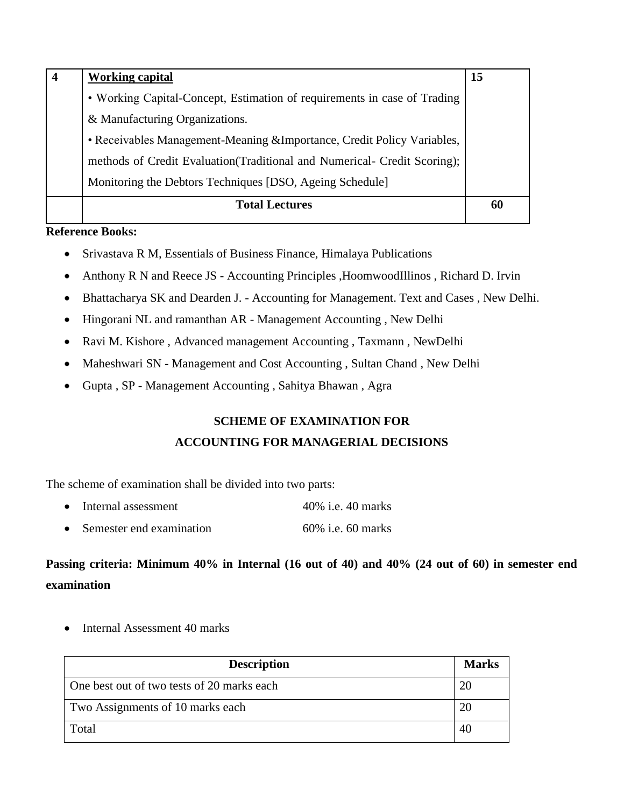| <b>Working capital</b>                                                   | 15 |
|--------------------------------------------------------------------------|----|
| • Working Capital-Concept, Estimation of requirements in case of Trading |    |
| & Manufacturing Organizations.                                           |    |
| • Receivables Management-Meaning &Importance, Credit Policy Variables,   |    |
| methods of Credit Evaluation(Traditional and Numerical- Credit Scoring); |    |
| Monitoring the Debtors Techniques [DSO, Ageing Schedule]                 |    |
| <b>Total Lectures</b>                                                    | 60 |
|                                                                          |    |

#### **Reference Books:**

- Srivastava R M, Essentials of Business Finance, Himalaya Publications
- Anthony R N and Reece JS Accounting Principles , HoomwoodIllinos , Richard D. Irvin
- Bhattacharya SK and Dearden J. Accounting for Management. Text and Cases , New Delhi.
- Hingorani NL and ramanthan AR Management Accounting , New Delhi
- Ravi M. Kishore, Advanced management Accounting, Taxmann, NewDelhi
- Maheshwari SN Management and Cost Accounting, Sultan Chand, New Delhi
- Gupta , SP Management Accounting , Sahitya Bhawan , Agra

# **SCHEME OF EXAMINATION FOR ACCOUNTING FOR MANAGERIAL DECISIONS**

The scheme of examination shall be divided into two parts:

- Internal assessment 40% i.e. 40 marks
- Semester end examination 60% i.e. 60 marks

# **Passing criteria: Minimum 40% in Internal (16 out of 40) and 40% (24 out of 60) in semester end examination**

• Internal Assessment 40 marks

| <b>Description</b>                         | <b>Marks</b> |
|--------------------------------------------|--------------|
| One best out of two tests of 20 marks each | 20           |
| Two Assignments of 10 marks each           | 20           |
| Total                                      | 40           |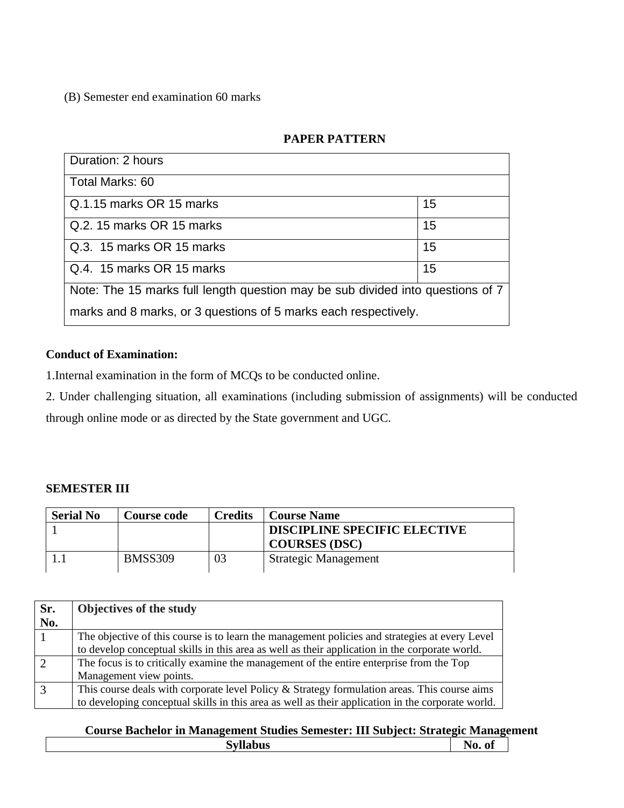(B) Semester end examination 60 marks

### **PAPER PATTERN**

| Duration: 2 hours                                                              |    |  |
|--------------------------------------------------------------------------------|----|--|
| Total Marks: 60                                                                |    |  |
| Q.1.15 marks OR 15 marks                                                       | 15 |  |
| Q.2. 15 marks OR 15 marks                                                      | 15 |  |
| Q.3. 15 marks OR 15 marks                                                      | 15 |  |
| Q.4. 15 marks OR 15 marks                                                      | 15 |  |
| Note: The 15 marks full length question may be sub divided into questions of 7 |    |  |
| marks and 8 marks, or 3 questions of 5 marks each respectively.                |    |  |

### **Conduct of Examination:**

1.Internal examination in the form of MCQs to be conducted online.

2. Under challenging situation, all examinations (including submission of assignments) will be conducted through online mode or as directed by the State government and UGC.

### **SEMESTER III**

 $\Box$ 

| <b>Serial No</b> | <b>Course code</b> | <b>Credits</b> | <b>Course Name</b>                  |
|------------------|--------------------|----------------|-------------------------------------|
|                  |                    |                | <b>DISCIPLINE SPECIFIC ELECTIVE</b> |
|                  |                    |                | <b>COURSES (DSC)</b>                |
|                  | <b>BMSS309</b>     | 03             | Strategic Management                |

| Sr.            | <b>Objectives of the study</b>                                                                    |
|----------------|---------------------------------------------------------------------------------------------------|
| No.            |                                                                                                   |
|                | The objective of this course is to learn the management policies and strategies at every Level    |
|                | to develop conceptual skills in this area as well as their application in the corporate world.    |
| $\overline{2}$ | The focus is to critically examine the management of the entire enterprise from the Top           |
|                | Management view points.                                                                           |
| $\overline{3}$ | This course deals with corporate level Policy & Strategy formulation areas. This course aims      |
|                | to developing conceptual skills in this area as well as their application in the corporate world. |

# **Course Bachelor in Management Studies Semester: III Subject: Strategic Management**

| $- -$<br>-<br>----<br>נו ש<br>$\overline{\phantom{a}}$ | $\sim$<br>n<br>v<br>,,,,<br><b>.</b> |  |
|--------------------------------------------------------|--------------------------------------|--|
|                                                        |                                      |  |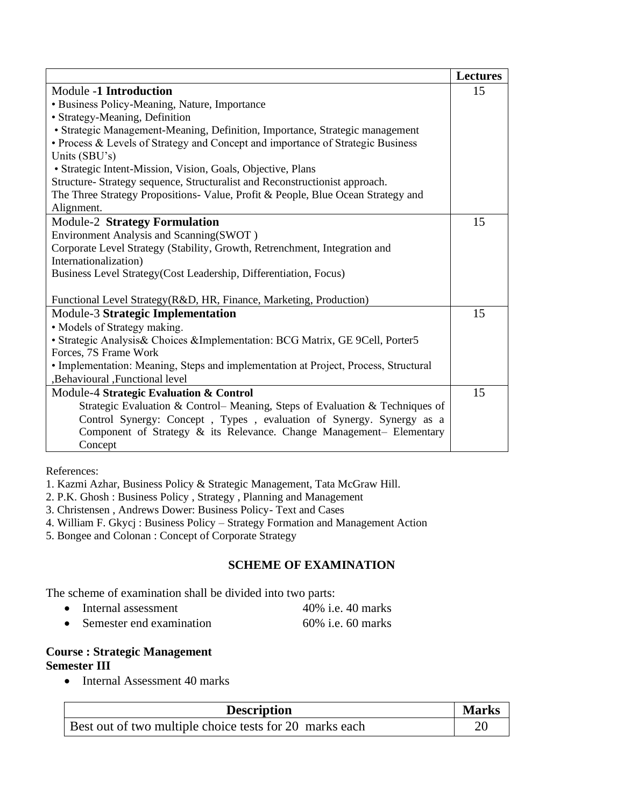|                                                                                     | <b>Lectures</b> |
|-------------------------------------------------------------------------------------|-----------------|
| <b>Module -1 Introduction</b>                                                       | 15              |
| · Business Policy-Meaning, Nature, Importance                                       |                 |
| · Strategy-Meaning, Definition                                                      |                 |
| • Strategic Management-Meaning, Definition, Importance, Strategic management        |                 |
| • Process & Levels of Strategy and Concept and importance of Strategic Business     |                 |
| Units (SBU's)                                                                       |                 |
| • Strategic Intent-Mission, Vision, Goals, Objective, Plans                         |                 |
| Structure- Strategy sequence, Structuralist and Reconstructionist approach.         |                 |
| The Three Strategy Propositions- Value, Profit & People, Blue Ocean Strategy and    |                 |
| Alignment.                                                                          |                 |
| <b>Module-2 Strategy Formulation</b>                                                | 15              |
| Environment Analysis and Scanning(SWOT)                                             |                 |
| Corporate Level Strategy (Stability, Growth, Retrenchment, Integration and          |                 |
| Internationalization)                                                               |                 |
| Business Level Strategy (Cost Leadership, Differentiation, Focus)                   |                 |
|                                                                                     |                 |
| Functional Level Strategy(R&D, HR, Finance, Marketing, Production)                  |                 |
| Module-3 Strategic Implementation                                                   | 15              |
| • Models of Strategy making.                                                        |                 |
| · Strategic Analysis& Choices &Implementation: BCG Matrix, GE 9Cell, Porter5        |                 |
| Forces, 7S Frame Work                                                               |                 |
| • Implementation: Meaning, Steps and implementation at Project, Process, Structural |                 |
| ,Behavioural ,Functional level                                                      |                 |
| Module-4 Strategic Evaluation & Control                                             | 15              |
| Strategic Evaluation & Control- Meaning, Steps of Evaluation & Techniques of        |                 |
| Control Synergy: Concept, Types, evaluation of Synergy. Synergy as a                |                 |
| Component of Strategy & its Relevance. Change Management- Elementary                |                 |
| Concept                                                                             |                 |

References:

1. Kazmi Azhar, Business Policy & Strategic Management, Tata McGraw Hill.

- 2. P.K. Ghosh : Business Policy , Strategy , Planning and Management
- 3. Christensen , Andrews Dower: Business Policy- Text and Cases

4. William F. Gkycj : Business Policy – Strategy Formation and Management Action

5. Bongee and Colonan : Concept of Corporate Strategy

#### **SCHEME OF EXAMINATION**

The scheme of examination shall be divided into two parts:

• Internal assessment 40% i.e. 40 marks • Semester end examination 60% i.e. 60 marks

#### **Course : Strategic Management Semester III**

• Internal Assessment 40 marks

| <b>Description</b>                                      | <b>Marks</b> |
|---------------------------------------------------------|--------------|
| Best out of two multiple choice tests for 20 marks each |              |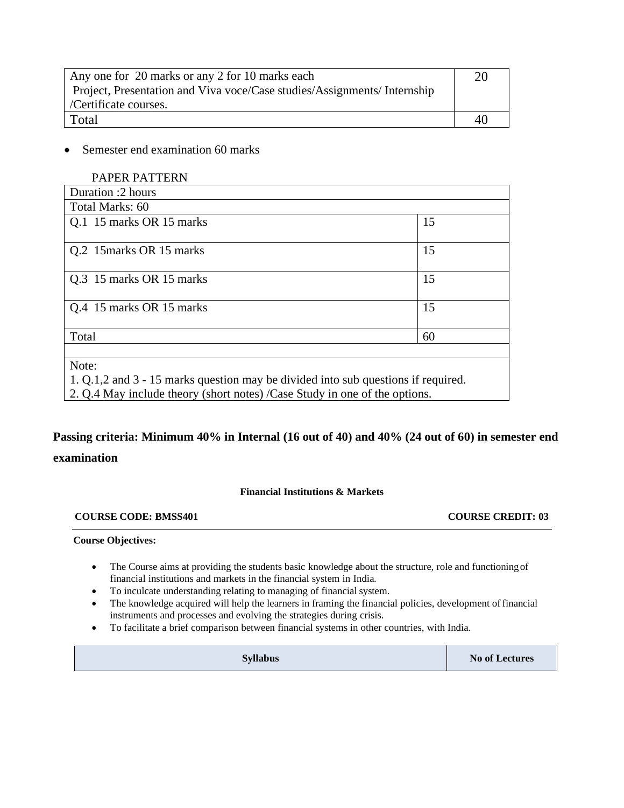| Any one for 20 marks or any 2 for 10 marks each                         |    |
|-------------------------------------------------------------------------|----|
| Project, Presentation and Viva voce/Case studies/Assignments/Internship |    |
| /Certificate courses.                                                   |    |
| Total                                                                   | 40 |

• Semester end examination 60 marks

| <b>PAPER PATTERN</b>                                                              |    |
|-----------------------------------------------------------------------------------|----|
| Duration :2 hours                                                                 |    |
| Total Marks: 60                                                                   |    |
| Q.1 15 marks OR 15 marks                                                          | 15 |
| Q.2 15 marks OR 15 marks                                                          | 15 |
| Q.3 15 marks OR 15 marks                                                          | 15 |
| Q.4 15 marks OR 15 marks                                                          | 15 |
| Total                                                                             | 60 |
| Note:                                                                             |    |
| 1. Q.1.2 and 3 - 15 marks question may be divided into sub questions if required. |    |
| 2. Q.4 May include theory (short notes) /Case Study in one of the options.        |    |

# **Passing criteria: Minimum 40% in Internal (16 out of 40) and 40% (24 out of 60) in semester end examination**

#### **Financial Institutions & Markets**

#### **COURSE CODE: BMSS401 COURSE CREDIT: 03**

#### **Course Objectives:**

- The Course aims at providing the students basic knowledge about the structure, role and functioningof financial institutions and markets in the financial system in India.
- To inculcate understanding relating to managing of financial system.
- The knowledge acquired will help the learners in framing the financial policies, development of financial instruments and processes and evolving the strategies during crisis.
- To facilitate a brief comparison between financial systems in other countries, with India.

| <b>Syllabus</b> | <b>No of Lectures</b> |
|-----------------|-----------------------|
|-----------------|-----------------------|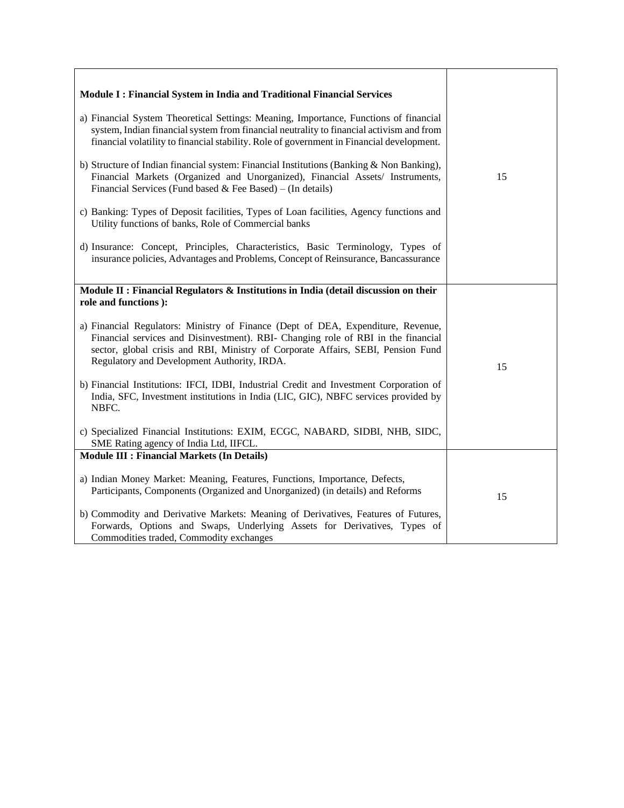| Module I: Financial System in India and Traditional Financial Services<br>a) Financial System Theoretical Settings: Meaning, Importance, Functions of financial<br>system, Indian financial system from financial neutrality to financial activism and from<br>financial volatility to financial stability. Role of government in Financial development.<br>b) Structure of Indian financial system: Financial Institutions (Banking & Non Banking),<br>Financial Markets (Organized and Unorganized), Financial Assets/ Instruments,<br>Financial Services (Fund based & Fee Based) – (In details)<br>c) Banking: Types of Deposit facilities, Types of Loan facilities, Agency functions and<br>Utility functions of banks, Role of Commercial banks<br>d) Insurance: Concept, Principles, Characteristics, Basic Terminology, Types of<br>insurance policies, Advantages and Problems, Concept of Reinsurance, Bancassurance | 15 |
|---------------------------------------------------------------------------------------------------------------------------------------------------------------------------------------------------------------------------------------------------------------------------------------------------------------------------------------------------------------------------------------------------------------------------------------------------------------------------------------------------------------------------------------------------------------------------------------------------------------------------------------------------------------------------------------------------------------------------------------------------------------------------------------------------------------------------------------------------------------------------------------------------------------------------------|----|
| Module II : Financial Regulators & Institutions in India (detail discussion on their<br>role and functions ):                                                                                                                                                                                                                                                                                                                                                                                                                                                                                                                                                                                                                                                                                                                                                                                                                   |    |
| a) Financial Regulators: Ministry of Finance (Dept of DEA, Expenditure, Revenue,<br>Financial services and Disinvestment). RBI- Changing role of RBI in the financial<br>sector, global crisis and RBI, Ministry of Corporate Affairs, SEBI, Pension Fund<br>Regulatory and Development Authority, IRDA.                                                                                                                                                                                                                                                                                                                                                                                                                                                                                                                                                                                                                        | 15 |
| b) Financial Institutions: IFCI, IDBI, Industrial Credit and Investment Corporation of<br>India, SFC, Investment institutions in India (LIC, GIC), NBFC services provided by<br>NBFC.                                                                                                                                                                                                                                                                                                                                                                                                                                                                                                                                                                                                                                                                                                                                           |    |
| c) Specialized Financial Institutions: EXIM, ECGC, NABARD, SIDBI, NHB, SIDC,<br>SME Rating agency of India Ltd, IIFCL.                                                                                                                                                                                                                                                                                                                                                                                                                                                                                                                                                                                                                                                                                                                                                                                                          |    |
| <b>Module III : Financial Markets (In Details)</b>                                                                                                                                                                                                                                                                                                                                                                                                                                                                                                                                                                                                                                                                                                                                                                                                                                                                              |    |
| a) Indian Money Market: Meaning, Features, Functions, Importance, Defects,<br>Participants, Components (Organized and Unorganized) (in details) and Reforms                                                                                                                                                                                                                                                                                                                                                                                                                                                                                                                                                                                                                                                                                                                                                                     | 15 |
| b) Commodity and Derivative Markets: Meaning of Derivatives, Features of Futures,<br>Forwards, Options and Swaps, Underlying Assets for Derivatives, Types of<br>Commodities traded, Commodity exchanges                                                                                                                                                                                                                                                                                                                                                                                                                                                                                                                                                                                                                                                                                                                        |    |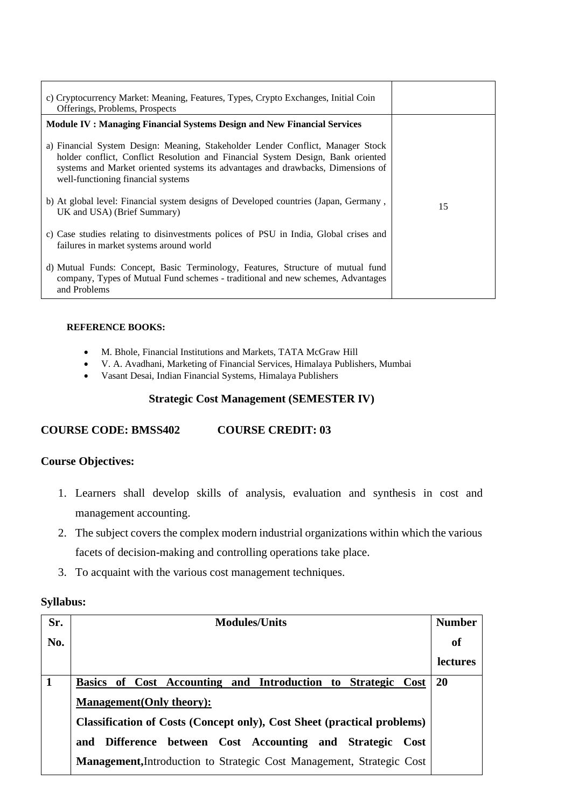| c) Cryptocurrency Market: Meaning, Features, Types, Crypto Exchanges, Initial Coin<br>Offerings, Problems, Prospects                                                                                                                                                                        |    |
|---------------------------------------------------------------------------------------------------------------------------------------------------------------------------------------------------------------------------------------------------------------------------------------------|----|
| <b>Module IV : Managing Financial Systems Design and New Financial Services</b>                                                                                                                                                                                                             |    |
| a) Financial System Design: Meaning, Stakeholder Lender Conflict, Manager Stock<br>holder conflict, Conflict Resolution and Financial System Design, Bank oriented<br>systems and Market oriented systems its advantages and drawbacks, Dimensions of<br>well-functioning financial systems |    |
| b) At global level: Financial system designs of Developed countries (Japan, Germany,<br>UK and USA) (Brief Summary)                                                                                                                                                                         | 15 |
| c) Case studies relating to disinvestments polices of PSU in India, Global crises and<br>failures in market systems around world                                                                                                                                                            |    |
| d) Mutual Funds: Concept, Basic Terminology, Features, Structure of mutual fund<br>company, Types of Mutual Fund schemes - traditional and new schemes, Advantages<br>and Problems                                                                                                          |    |

#### **REFERENCE BOOKS:**

- M. Bhole, Financial Institutions and Markets, TATA McGraw Hill
- V. A. Avadhani, Marketing of Financial Services, Himalaya Publishers, Mumbai
- Vasant Desai, Indian Financial Systems, Himalaya Publishers

#### **Strategic Cost Management (SEMESTER IV)**

#### **COURSE CODE: BMSS402 COURSE CREDIT: 03**

#### **Course Objectives:**

- 1. Learners shall develop skills of analysis, evaluation and synthesis in cost and management accounting.
- 2. The subject covers the complex modern industrial organizations within which the various facets of decision-making and controlling operations take place.
- 3. To acquaint with the various cost management techniques.

#### **Syllabus:**

| Sr.          | <b>Modules/Units</b>                                                    | <b>Number</b>   |
|--------------|-------------------------------------------------------------------------|-----------------|
| No.          |                                                                         | of              |
|              |                                                                         | <b>lectures</b> |
| $\mathbf{1}$ | Basics of Cost Accounting and Introduction to Strategic Cost            | <b>20</b>       |
|              | <b>Management</b> (Only theory):                                        |                 |
|              | Classification of Costs (Concept only), Cost Sheet (practical problems) |                 |
|              | and Difference between Cost Accounting and Strategic<br>- Cost          |                 |
|              | Management, Introduction to Strategic Cost Management, Strategic Cost   |                 |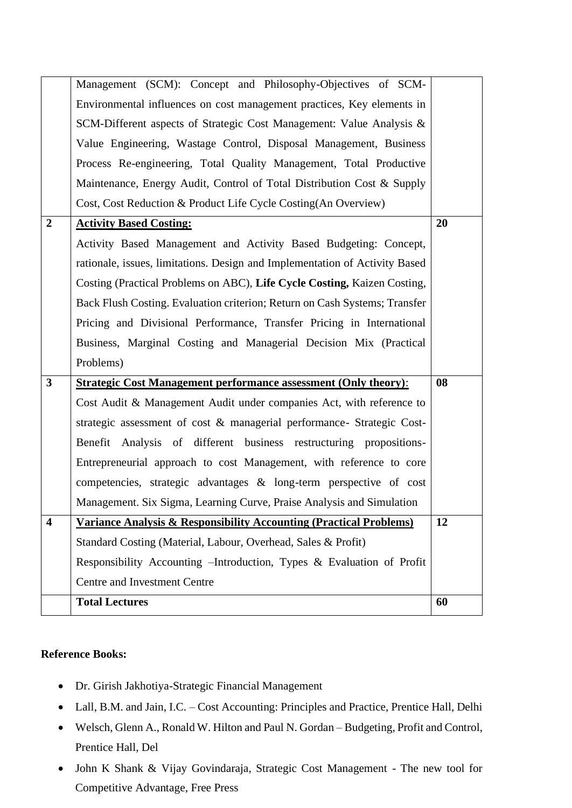|                         | Management (SCM): Concept and Philosophy-Objectives of SCM-                   |    |
|-------------------------|-------------------------------------------------------------------------------|----|
|                         | Environmental influences on cost management practices, Key elements in        |    |
|                         | SCM-Different aspects of Strategic Cost Management: Value Analysis &          |    |
|                         | Value Engineering, Wastage Control, Disposal Management, Business             |    |
|                         | Process Re-engineering, Total Quality Management, Total Productive            |    |
|                         | Maintenance, Energy Audit, Control of Total Distribution Cost & Supply        |    |
|                         | Cost, Cost Reduction & Product Life Cycle Costing (An Overview)               |    |
| $\overline{2}$          | <b>Activity Based Costing:</b>                                                | 20 |
|                         | Activity Based Management and Activity Based Budgeting: Concept,              |    |
|                         | rationale, issues, limitations. Design and Implementation of Activity Based   |    |
|                         | Costing (Practical Problems on ABC), Life Cycle Costing, Kaizen Costing,      |    |
|                         | Back Flush Costing. Evaluation criterion; Return on Cash Systems; Transfer    |    |
|                         | Pricing and Divisional Performance, Transfer Pricing in International         |    |
|                         | Business, Marginal Costing and Managerial Decision Mix (Practical             |    |
|                         | Problems)                                                                     |    |
| $\mathbf{3}$            | <b>Strategic Cost Management performance assessment (Only theory):</b>        | 08 |
|                         | Cost Audit & Management Audit under companies Act, with reference to          |    |
|                         | strategic assessment of cost & managerial performance- Strategic Cost-        |    |
|                         | Benefit Analysis of different business restructuring propositions-            |    |
|                         | Entrepreneurial approach to cost Management, with reference to core           |    |
|                         | competencies, strategic advantages & long-term perspective of cost            |    |
|                         | Management. Six Sigma, Learning Curve, Praise Analysis and Simulation         |    |
| $\overline{\mathbf{4}}$ | <b>Variance Analysis &amp; Responsibility Accounting (Practical Problems)</b> | 12 |
|                         | Standard Costing (Material, Labour, Overhead, Sales & Profit)                 |    |
|                         | Responsibility Accounting - Introduction, Types & Evaluation of Profit        |    |
|                         | Centre and Investment Centre                                                  |    |
|                         | <b>Total Lectures</b>                                                         | 60 |
|                         |                                                                               |    |

#### **Reference Books:**

- Dr. Girish Jakhotiya-Strategic Financial Management
- Lall, B.M. and Jain, I.C. Cost Accounting: Principles and Practice, Prentice Hall, Delhi
- Welsch, Glenn A., Ronald W. Hilton and Paul N. Gordan Budgeting, Profit and Control, Prentice Hall, Del
- John K Shank & Vijay Govindaraja, Strategic Cost Management The new tool for Competitive Advantage, Free Press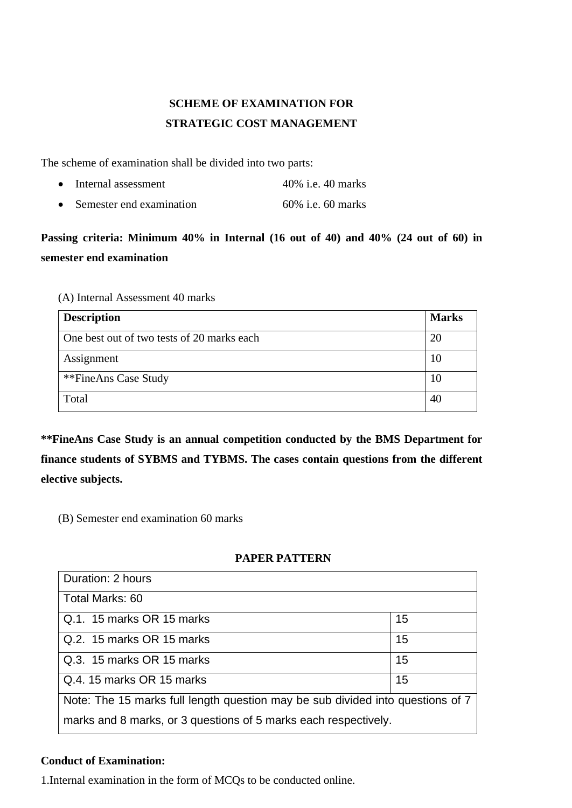# **SCHEME OF EXAMINATION FOR STRATEGIC COST MANAGEMENT**

The scheme of examination shall be divided into two parts:

• Internal assessment 40% i.e. 40 marks • Semester end examination 60% i.e. 60 marks

# **Passing criteria: Minimum 40% in Internal (16 out of 40) and 40% (24 out of 60) in semester end examination**

#### (A) Internal Assessment 40 marks

| <b>Description</b>                         | <b>Marks</b> |
|--------------------------------------------|--------------|
| One best out of two tests of 20 marks each | 20           |
| Assignment                                 | 10           |
| **FineAns Case Study                       | 10           |
| Total                                      | 40           |

**\*\*FineAns Case Study is an annual competition conducted by the BMS Department for finance students of SYBMS and TYBMS. The cases contain questions from the different elective subjects.**

(B) Semester end examination 60 marks

#### **PAPER PATTERN**

| Duration: 2 hours                                                              |    |  |
|--------------------------------------------------------------------------------|----|--|
| Total Marks: 60                                                                |    |  |
| Q.1. 15 marks OR 15 marks                                                      | 15 |  |
| Q.2. 15 marks OR 15 marks                                                      | 15 |  |
| Q.3. 15 marks OR 15 marks                                                      | 15 |  |
| Q.4. 15 marks OR 15 marks                                                      | 15 |  |
| Note: The 15 marks full length question may be sub divided into questions of 7 |    |  |
| marks and 8 marks, or 3 questions of 5 marks each respectively.                |    |  |

#### **Conduct of Examination:**

1.Internal examination in the form of MCQs to be conducted online.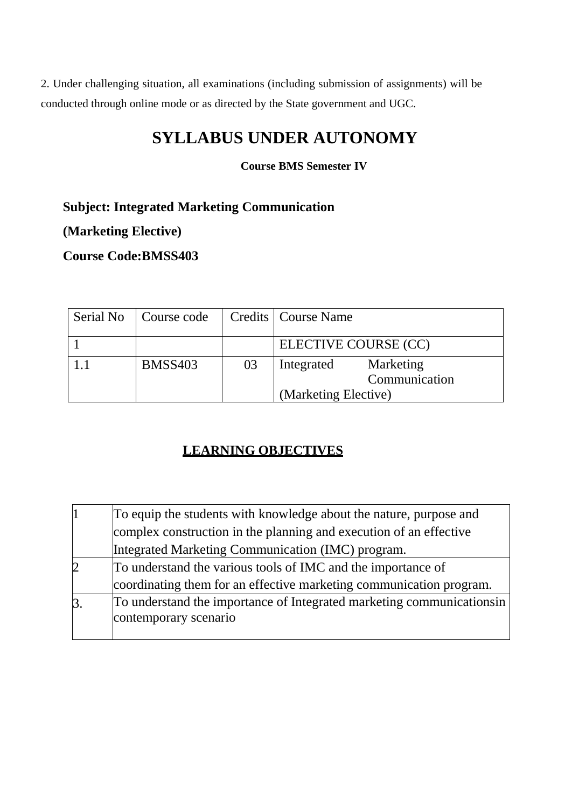2. Under challenging situation, all examinations (including submission of assignments) will be conducted through online mode or as directed by the State government and UGC.

# **SYLLABUS UNDER AUTONOMY**

**Course BMS Semester IV**

**Subject: Integrated Marketing Communication**

**(Marketing Elective)**

**Course Code:BMSS403**

| Serial No | Course code    |    | Credits   Course Name                                            |
|-----------|----------------|----|------------------------------------------------------------------|
|           |                |    | ELECTIVE COURSE (CC)                                             |
|           | <b>BMSS403</b> | 03 | Marketing<br>Integrated<br>Communication<br>(Marketing Elective) |

# **LEARNING OBJECTIVES**

|                | To equip the students with knowledge about the nature, purpose and     |
|----------------|------------------------------------------------------------------------|
|                | complex construction in the planning and execution of an effective     |
|                | Integrated Marketing Communication (IMC) program.                      |
| $\overline{2}$ | To understand the various tools of IMC and the importance of           |
|                | coordinating them for an effective marketing communication program.    |
| 3.             | To understand the importance of Integrated marketing communications in |
|                | contemporary scenario                                                  |
|                |                                                                        |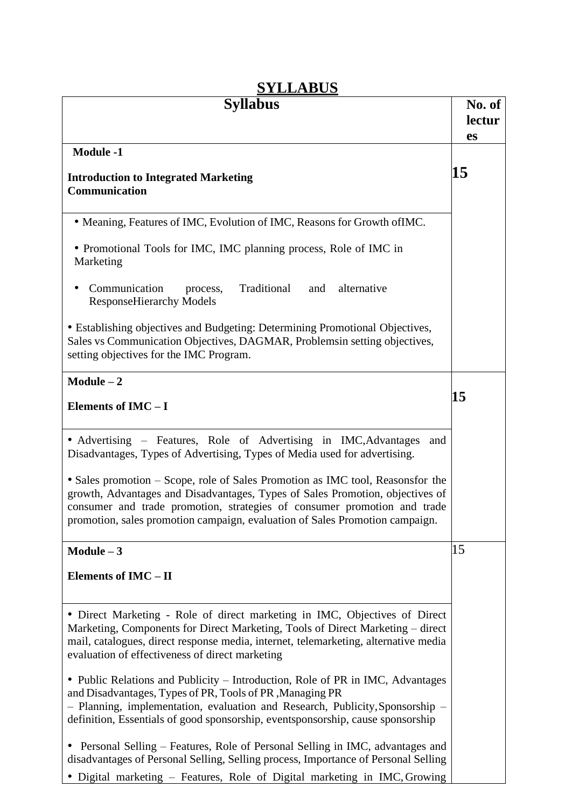| <b>DI LLADUD</b>                                                                                                                                                                                                                                                                                                            |                        |
|-----------------------------------------------------------------------------------------------------------------------------------------------------------------------------------------------------------------------------------------------------------------------------------------------------------------------------|------------------------|
| <b>Syllabus</b>                                                                                                                                                                                                                                                                                                             | No. of<br>lectur<br>es |
| <b>Module -1</b>                                                                                                                                                                                                                                                                                                            |                        |
| <b>Introduction to Integrated Marketing</b><br>Communication                                                                                                                                                                                                                                                                | 15                     |
| • Meaning, Features of IMC, Evolution of IMC, Reasons for Growth of IMC.                                                                                                                                                                                                                                                    |                        |
| • Promotional Tools for IMC, IMC planning process, Role of IMC in<br>Marketing                                                                                                                                                                                                                                              |                        |
| Communication<br>Traditional<br>alternative<br>and<br>process,<br><b>ResponseHierarchy Models</b>                                                                                                                                                                                                                           |                        |
| • Establishing objectives and Budgeting: Determining Promotional Objectives,<br>Sales vs Communication Objectives, DAGMAR, Problemsin setting objectives,<br>setting objectives for the IMC Program.                                                                                                                        |                        |
| $Module - 2$                                                                                                                                                                                                                                                                                                                |                        |
| Elements of IMC-I                                                                                                                                                                                                                                                                                                           | 15                     |
| • Advertising – Features, Role of Advertising in IMC, Advantages<br>and<br>Disadvantages, Types of Advertising, Types of Media used for advertising.                                                                                                                                                                        |                        |
| • Sales promotion – Scope, role of Sales Promotion as IMC tool, Reasonsfor the<br>growth, Advantages and Disadvantages, Types of Sales Promotion, objectives of<br>consumer and trade promotion, strategies of consumer promotion and trade<br>promotion, sales promotion campaign, evaluation of Sales Promotion campaign. |                        |
| $Module - 3$                                                                                                                                                                                                                                                                                                                | 15                     |
| Elements of IMC - II                                                                                                                                                                                                                                                                                                        |                        |
| · Direct Marketing - Role of direct marketing in IMC, Objectives of Direct<br>Marketing, Components for Direct Marketing, Tools of Direct Marketing – direct<br>mail, catalogues, direct response media, internet, telemarketing, alternative media<br>evaluation of effectiveness of direct marketing                      |                        |
| • Public Relations and Publicity – Introduction, Role of PR in IMC, Advantages<br>and Disadvantages, Types of PR, Tools of PR, Managing PR<br>- Planning, implementation, evaluation and Research, Publicity, Sponsorship -<br>definition, Essentials of good sponsorship, eventsponsorship, cause sponsorship              |                        |
| • Personal Selling – Features, Role of Personal Selling in IMC, advantages and<br>disadvantages of Personal Selling, Selling process, Importance of Personal Selling<br>• Digital marketing – Features, Role of Digital marketing in IMC, Growing                                                                           |                        |

# **SVLLABUS**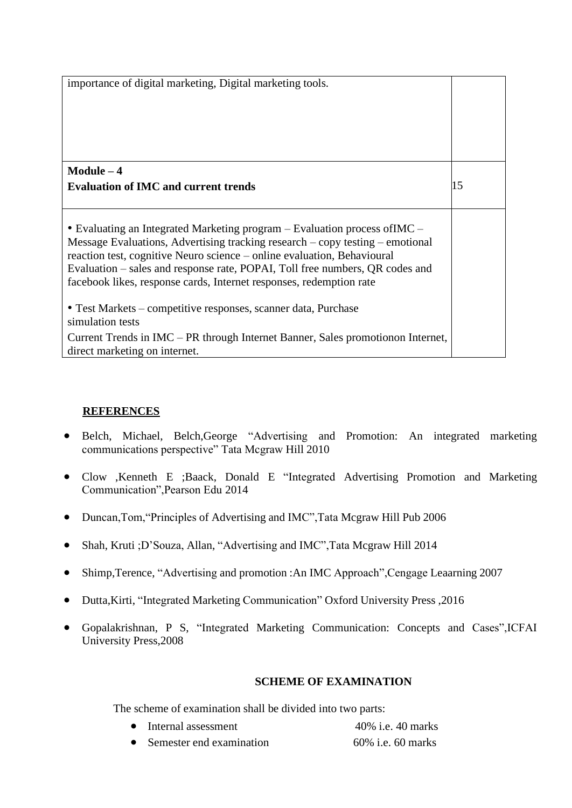| importance of digital marketing, Digital marketing tools.                                                                                                                                                                                                                                                                                                                                                  |    |
|------------------------------------------------------------------------------------------------------------------------------------------------------------------------------------------------------------------------------------------------------------------------------------------------------------------------------------------------------------------------------------------------------------|----|
| $Module - 4$                                                                                                                                                                                                                                                                                                                                                                                               |    |
| <b>Evaluation of IMC and current trends</b>                                                                                                                                                                                                                                                                                                                                                                | 15 |
| • Evaluating an Integrated Marketing program – Evaluation process of IMC –<br>Message Evaluations, Advertising tracking research $-\text{copy testing}-\text{emotional}$<br>reaction test, cognitive Neuro science – online evaluation, Behavioural<br>Evaluation – sales and response rate, POPAI, Toll free numbers, QR codes and<br>facebook likes, response cards, Internet responses, redemption rate |    |
| • Test Markets – competitive responses, scanner data, Purchase<br>simulation tests<br>Current Trends in IMC – PR through Internet Banner, Sales promotion Internet,<br>direct marketing on internet.                                                                                                                                                                                                       |    |

### **REFERENCES**

- Belch, Michael, Belch,George "Advertising and Promotion: An integrated marketing communications perspective" Tata Mcgraw Hill 2010
- Clow ,Kenneth E ;Baack, Donald E "Integrated Advertising Promotion and Marketing Communication",Pearson Edu 2014
- Duncan,Tom,"Principles of Advertising and IMC",Tata Mcgraw Hill Pub 2006
- Shah, Kruti ;D'Souza, Allan, "Advertising and IMC", Tata Mcgraw Hill 2014
- Shimp, Terence, "Advertising and promotion : An IMC Approach", Cengage Leaarning 2007
- Dutta,Kirti, "Integrated Marketing Communication" Oxford University Press ,2016
- Gopalakrishnan, P S, "Integrated Marketing Communication: Concepts and Cases",ICFAI University Press,2008

#### **SCHEME OF EXAMINATION**

The scheme of examination shall be divided into two parts:

- Internal assessment 40% i.e. 40 marks
- Semester end examination 60% i.e. 60 marks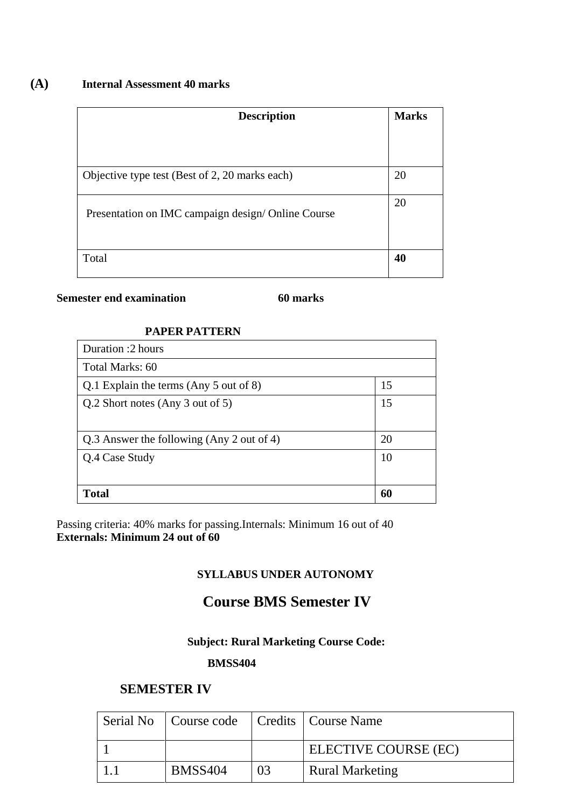### **(A) Internal Assessment 40 marks**

| <b>Description</b>                                 | <b>Marks</b> |
|----------------------------------------------------|--------------|
| Objective type test (Best of 2, 20 marks each)     | 20           |
| Presentation on IMC campaign design/ Online Course | 20           |
|                                                    |              |
| Total                                              | 40           |

#### **Semester end examination** 60 marks

### **PAPER PATTERN**

| Duration :2 hours                         |    |  |
|-------------------------------------------|----|--|
| Total Marks: 60                           |    |  |
| Q.1 Explain the terms (Any 5 out of 8)    | 15 |  |
| Q.2 Short notes (Any 3 out of 5)          | 15 |  |
| Q.3 Answer the following (Any 2 out of 4) | 20 |  |
| Q.4 Case Study                            | 10 |  |
|                                           |    |  |
| <b>Total</b>                              | 60 |  |

Passing criteria: 40% marks for passing.Internals: Minimum 16 out of 40 **Externals: Minimum 24 out of 60**

### **SYLLABUS UNDER AUTONOMY**

# **Course BMS Semester IV**

# **Subject: Rural Marketing Course Code:**

#### **BMSS404**

### **SEMESTER IV**

| Serial No   Course code   Credits   Course Name |    |                        |
|-------------------------------------------------|----|------------------------|
|                                                 |    | ELECTIVE COURSE (EC)   |
| <b>BMSS404</b>                                  | 03 | <b>Rural Marketing</b> |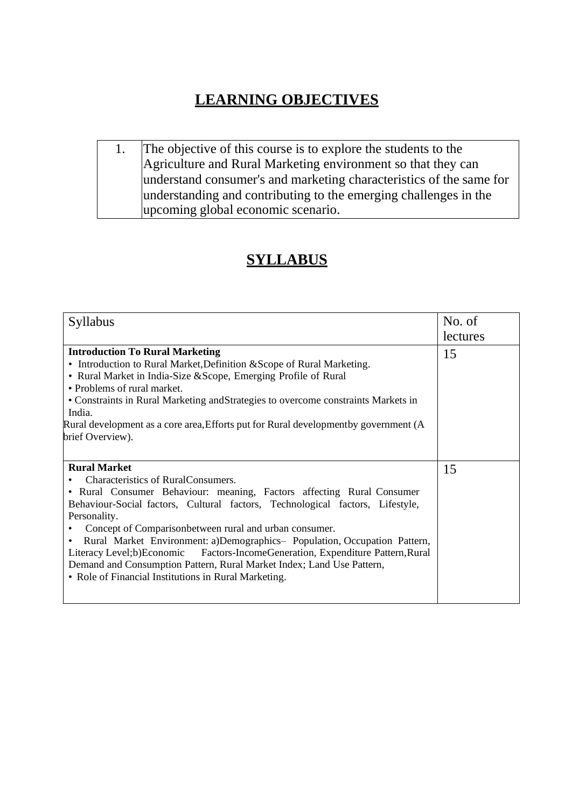# **LEARNING OBJECTIVES**

1. The objective of this course is to explore the students to the Agriculture and Rural Marketing environment so that they can understand consumer's and marketing characteristics of the same for understanding and contributing to the emerging challenges in the upcoming global economic scenario.

# **SYLLABUS**

| Syllabus                                                                                                                                                                                                                                                                                                                                                                                                                                                                                                                                                                                                   | No. of   |
|------------------------------------------------------------------------------------------------------------------------------------------------------------------------------------------------------------------------------------------------------------------------------------------------------------------------------------------------------------------------------------------------------------------------------------------------------------------------------------------------------------------------------------------------------------------------------------------------------------|----------|
|                                                                                                                                                                                                                                                                                                                                                                                                                                                                                                                                                                                                            | lectures |
| <b>Introduction To Rural Marketing</b><br>• Introduction to Rural Market, Definition & Scope of Rural Marketing.<br>• Rural Market in India-Size & Scope, Emerging Profile of Rural<br>• Problems of rural market.<br>• Constraints in Rural Marketing and Strategies to overcome constraints Markets in<br>India.<br>Rural development as a core area, Efforts put for Rural development by government (A                                                                                                                                                                                                 | 15       |
| brief Overview).                                                                                                                                                                                                                                                                                                                                                                                                                                                                                                                                                                                           |          |
| <b>Rural Market</b><br>Characteristics of RuralConsumers.<br>• Rural Consumer Behaviour: meaning, Factors affecting Rural Consumer<br>Behaviour-Social factors, Cultural factors, Technological factors, Lifestyle,<br>Personality.<br>Concept of Comparisonbetween rural and urban consumer.<br>Rural Market Environment: a)Demographics- Population, Occupation Pattern,<br>$\bullet$<br>Literacy Level;b)Economic Factors-IncomeGeneration, Expenditure Pattern, Rural<br>Demand and Consumption Pattern, Rural Market Index; Land Use Pattern,<br>• Role of Financial Institutions in Rural Marketing. | 15       |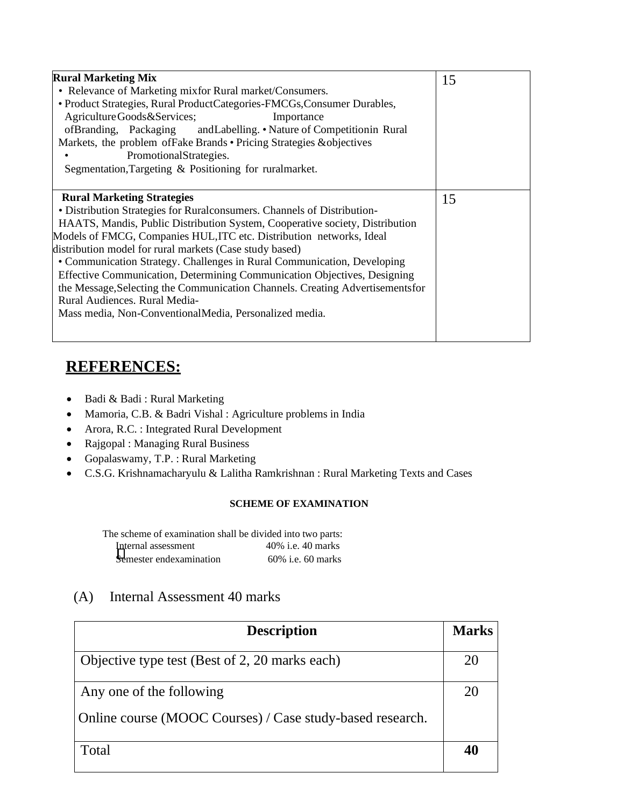| <b>Rural Marketing Mix</b><br>• Relevance of Marketing mixfor Rural market/Consumers.<br>• Product Strategies, Rural ProductCategories-FMCGs, Consumer Durables,<br>Agriculture Goods & Services;<br>Importance<br>ofBranding, Packaging andLabelling. • Nature of Competitionin Rural<br>Markets, the problem of Fake Brands • Pricing Strategies & objectives<br>PromotionalStrategies.<br>Segmentation, Targeting & Positioning for ruralmarket.                                                                                                                                                                                                                  | 15 |
|----------------------------------------------------------------------------------------------------------------------------------------------------------------------------------------------------------------------------------------------------------------------------------------------------------------------------------------------------------------------------------------------------------------------------------------------------------------------------------------------------------------------------------------------------------------------------------------------------------------------------------------------------------------------|----|
| <b>Rural Marketing Strategies</b><br>• Distribution Strategies for Rural consumers. Channels of Distribution-<br>HAATS, Mandis, Public Distribution System, Cooperative society, Distribution<br>Models of FMCG, Companies HUL, ITC etc. Distribution networks, Ideal<br>distribution model for rural markets (Case study based)<br>• Communication Strategy. Challenges in Rural Communication, Developing<br>Effective Communication, Determining Communication Objectives, Designing<br>the Message, Selecting the Communication Channels. Creating Advertisements for<br>Rural Audiences. Rural Media-<br>Mass media, Non-ConventionalMedia, Personalized media. | 15 |

# **REFERENCES:**

- Badi & Badi : Rural Marketing
- Mamoria, C.B. & Badri Vishal : Agriculture problems in India
- Arora, R.C. : Integrated Rural Development
- Rajgopal : Managing Rural Business
- Gopalaswamy, T.P. : Rural Marketing
- C.S.G. Krishnamacharyulu & Lalitha Ramkrishnan : Rural Marketing Texts and Cases

#### **SCHEME OF EXAMINATION**

The scheme of examination shall be divided into two parts: Internal assessment 40% i.e. 40 marks **S**emester endexamination 60% i.e. 60 marks

# (A) Internal Assessment 40 marks

| <b>Description</b>                                        | <b>Marks</b> |
|-----------------------------------------------------------|--------------|
| Objective type test (Best of 2, 20 marks each)            | 20           |
| Any one of the following                                  | 20           |
| Online course (MOOC Courses) / Case study-based research. |              |
| Total                                                     | 40           |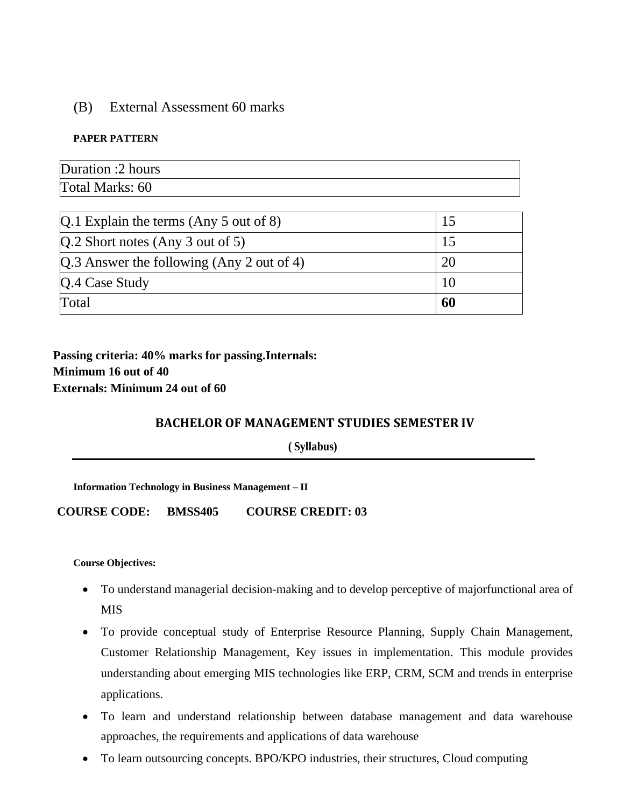#### (B) External Assessment 60 marks

#### **PAPER PATTERN**

| Duration :2 hours |  |
|-------------------|--|
| Total Marks: 60   |  |

| Total                                         | 60 |
|-----------------------------------------------|----|
| Q.4 Case Study                                | 10 |
| $[Q.3]$ Answer the following (Any 2 out of 4) | 20 |
| $[Q.2$ Short notes (Any 3 out of 5)           | 15 |
| $[Q.1]$ Explain the terms (Any 5 out of 8)    | 15 |

**Passing criteria: 40% marks for passing.Internals: Minimum 16 out of 40 Externals: Minimum 24 out of 60**

#### **BACHELOR OF MANAGEMENT STUDIES SEMESTER IV**

**( Syllabus)**

**Information Technology in Business Management – II**

**COURSE CODE: BMSS405 COURSE CREDIT: 03**

**Course Objectives:**

- To understand managerial decision-making and to develop perceptive of majorfunctional area of **MIS**
- To provide conceptual study of Enterprise Resource Planning, Supply Chain Management, Customer Relationship Management, Key issues in implementation. This module provides understanding about emerging MIS technologies like ERP, CRM, SCM and trends in enterprise applications.
- To learn and understand relationship between database management and data warehouse approaches, the requirements and applications of data warehouse
- To learn outsourcing concepts. BPO/KPO industries, their structures, Cloud computing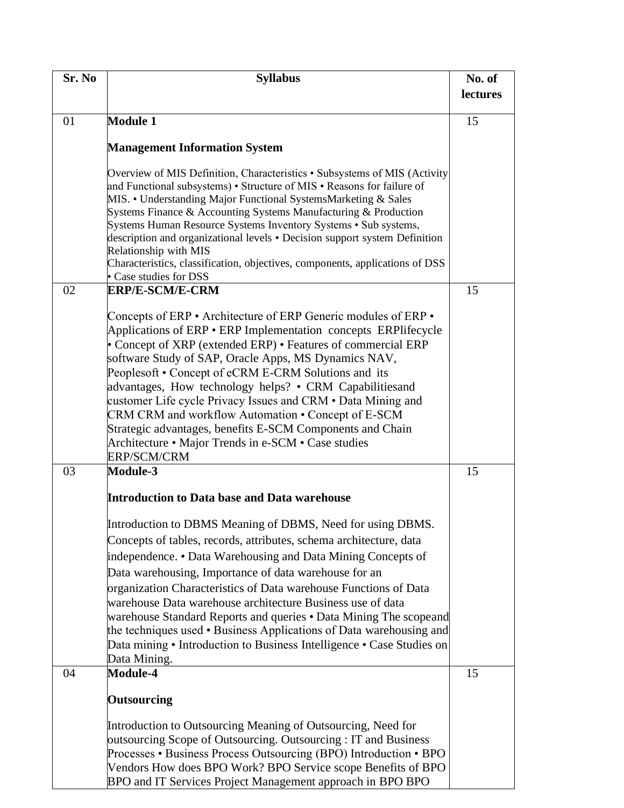| Sr. No | <b>Syllabus</b>                                                                                                                                                                                                                                                                                                                                                                                                                                                                                                                                                                                                                              | No. of   |
|--------|----------------------------------------------------------------------------------------------------------------------------------------------------------------------------------------------------------------------------------------------------------------------------------------------------------------------------------------------------------------------------------------------------------------------------------------------------------------------------------------------------------------------------------------------------------------------------------------------------------------------------------------------|----------|
|        |                                                                                                                                                                                                                                                                                                                                                                                                                                                                                                                                                                                                                                              | lectures |
|        |                                                                                                                                                                                                                                                                                                                                                                                                                                                                                                                                                                                                                                              |          |
| 01     | <b>Module 1</b>                                                                                                                                                                                                                                                                                                                                                                                                                                                                                                                                                                                                                              | 15       |
|        | <b>Management Information System</b>                                                                                                                                                                                                                                                                                                                                                                                                                                                                                                                                                                                                         |          |
|        | Overview of MIS Definition, Characteristics • Subsystems of MIS (Activity<br>and Functional subsystems) • Structure of MIS • Reasons for failure of<br>MIS. • Understanding Major Functional SystemsMarketing & Sales<br>Systems Finance & Accounting Systems Manufacturing & Production<br>Systems Human Resource Systems Inventory Systems • Sub systems,<br>description and organizational levels • Decision support system Definition<br>Relationship with MIS<br>Characteristics, classification, objectives, components, applications of DSS<br>• Case studies for DSS                                                                 |          |
| 02     | <b>ERP/E-SCM/E-CRM</b>                                                                                                                                                                                                                                                                                                                                                                                                                                                                                                                                                                                                                       | 15       |
|        | Concepts of ERP • Architecture of ERP Generic modules of ERP •<br>Applications of ERP • ERP Implementation concepts ERPlifecycle<br>• Concept of XRP (extended ERP) • Features of commercial ERP<br>software Study of SAP, Oracle Apps, MS Dynamics NAV,<br>Peoplesoft • Concept of eCRM E-CRM Solutions and its<br>advantages, How technology helps? • CRM Capabilities and<br>customer Life cycle Privacy Issues and CRM • Data Mining and<br>CRM CRM and workflow Automation • Concept of E-SCM<br>Strategic advantages, benefits E-SCM Components and Chain<br>Architecture • Major Trends in e-SCM • Case studies<br><b>ERP/SCM/CRM</b> |          |
| 03     | Module-3                                                                                                                                                                                                                                                                                                                                                                                                                                                                                                                                                                                                                                     | 15       |
|        | <b>Introduction to Data base and Data warehouse</b>                                                                                                                                                                                                                                                                                                                                                                                                                                                                                                                                                                                          |          |
|        | Introduction to DBMS Meaning of DBMS, Need for using DBMS.<br>Concepts of tables, records, attributes, schema architecture, data<br>independence. • Data Warehousing and Data Mining Concepts of<br>Data warehousing, Importance of data warehouse for an<br>organization Characteristics of Data warehouse Functions of Data<br>warehouse Data warehouse architecture Business use of data<br>warehouse Standard Reports and queries • Data Mining The scopeand<br>the techniques used • Business Applications of Data warehousing and<br>Data mining • Introduction to Business Intelligence • Case Studies on<br>Data Mining.             |          |
| 04     | <b>Module-4</b>                                                                                                                                                                                                                                                                                                                                                                                                                                                                                                                                                                                                                              | 15       |
|        | <b>Outsourcing</b><br>Introduction to Outsourcing Meaning of Outsourcing, Need for                                                                                                                                                                                                                                                                                                                                                                                                                                                                                                                                                           |          |
|        | outsourcing Scope of Outsourcing. Outsourcing: IT and Business<br>Processes • Business Process Outsourcing (BPO) Introduction • BPO<br>Vendors How does BPO Work? BPO Service scope Benefits of BPO<br>BPO and IT Services Project Management approach in BPO BPO                                                                                                                                                                                                                                                                                                                                                                            |          |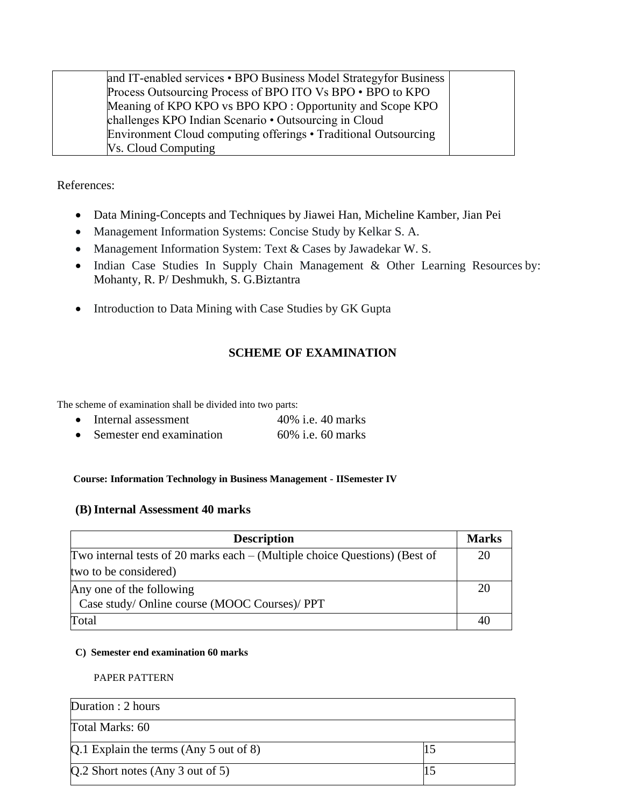| and IT-enabled services • BPO Business Model Strategy for Business |  |
|--------------------------------------------------------------------|--|
| Process Outsourcing Process of BPO ITO Vs BPO . BPO to KPO         |  |
| Meaning of KPO KPO vs BPO KPO : Opportunity and Scope KPO          |  |
| challenges KPO Indian Scenario • Outsourcing in Cloud              |  |
| Environment Cloud computing offerings • Traditional Outsourcing    |  |
| <b>Vs. Cloud Computing</b>                                         |  |

References:

- Data Mining-Concepts and Techniques by Jiawei Han, Micheline Kamber, Jian Pei
- Management Information Systems: Concise Study by Kelkar S. A.
- Management Information System: Text & Cases by Jawadekar W. S.
- Indian Case Studies In Supply Chain Management & Other Learning Resources by: Mohanty, R. P/ Deshmukh, S. G.Biztantra
- Introduction to Data Mining with Case Studies by GK Gupta

#### **SCHEME OF EXAMINATION**

The scheme of examination shall be divided into two parts:

| Internal assessment      | 40% i.e. 40 marks    |
|--------------------------|----------------------|
| Semester end examination | $60\%$ i.e. 60 marks |

#### **Course: Information Technology in Business Management - IISemester IV**

#### **(B)Internal Assessment 40 marks**

| <b>Description</b>                                                           | <b>Marks</b> |
|------------------------------------------------------------------------------|--------------|
| Two internal tests of 20 marks each $-$ (Multiple choice Questions) (Best of | 20           |
| two to be considered)                                                        |              |
| Any one of the following                                                     |              |
| Case study/ Online course (MOOC Courses)/ PPT                                |              |
| Total                                                                        | 40           |

#### **C) Semester end examination 60 marks**

PAPER PATTERN

| Duration : 2 hours                     |  |
|----------------------------------------|--|
| Total Marks: 60                        |  |
| Q.1 Explain the terms (Any 5 out of 8) |  |
| $Q.2$ Short notes (Any 3 out of 5)     |  |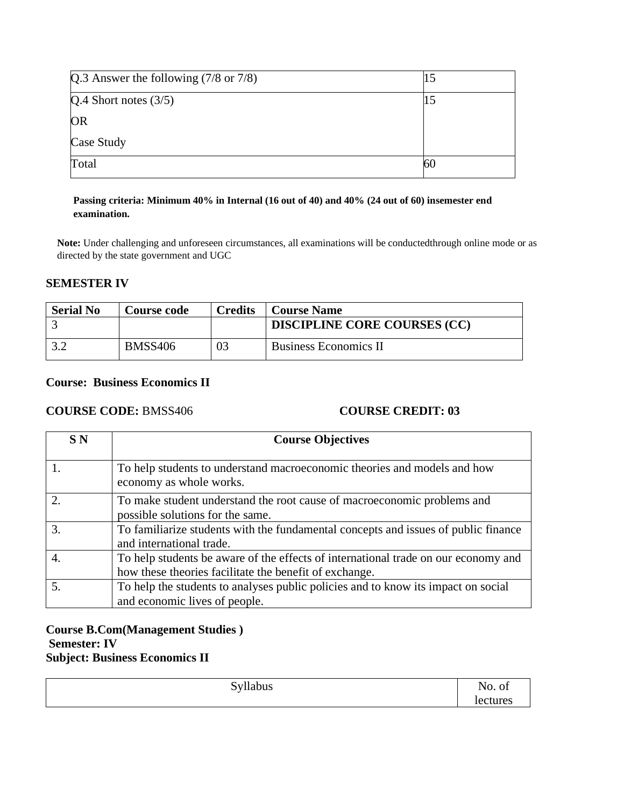| Q.3 Answer the following $(7/8 \text{ or } 7/8)$ |    |
|--------------------------------------------------|----|
| $Q.4$ Short notes $(3/5)$                        |    |
| <b>OR</b>                                        |    |
| Case Study                                       |    |
| Total                                            | 60 |

#### **Passing criteria: Minimum 40% in Internal (16 out of 40) and 40% (24 out of 60) insemester end examination.**

**Note:** Under challenging and unforeseen circumstances, all examinations will be conductedthrough online mode or as directed by the state government and UGC

#### **SEMESTER IV**

| <b>Serial No</b> | Course code    | <b>Credits</b> | <b>Course Name</b>                  |
|------------------|----------------|----------------|-------------------------------------|
|                  |                |                | <b>DISCIPLINE CORE COURSES (CC)</b> |
|                  | <b>BMSS406</b> |                | <b>Business Economics II</b>        |

#### **Course: Business Economics II**

#### **COURSE CODE:** BMSS406 **COURSE CREDIT: 03**

| <b>SN</b>              | <b>Course Objectives</b>                                                                                                                     |
|------------------------|----------------------------------------------------------------------------------------------------------------------------------------------|
|                        | To help students to understand macroeconomic theories and models and how<br>economy as whole works.                                          |
| $\mathcal{D}_{\alpha}$ | To make student understand the root cause of macroeconomic problems and<br>possible solutions for the same.                                  |
| 3.                     | To familiarize students with the fundamental concepts and issues of public finance<br>and international trade.                               |
| 4.                     | To help students be aware of the effects of international trade on our economy and<br>how these theories facilitate the benefit of exchange. |
| 5.                     | To help the students to analyses public policies and to know its impact on social<br>and economic lives of people.                           |

#### **Course B.Com(Management Studies ) Semester: IV Subject: Business Economics II**

| .<br>Tiabus<br>∼<br>$\overline{\phantom{0}}$ | ∼<br><u>v.</u><br>-<br>$   -$<br>$\sim$ |
|----------------------------------------------|-----------------------------------------|
|                                              |                                         |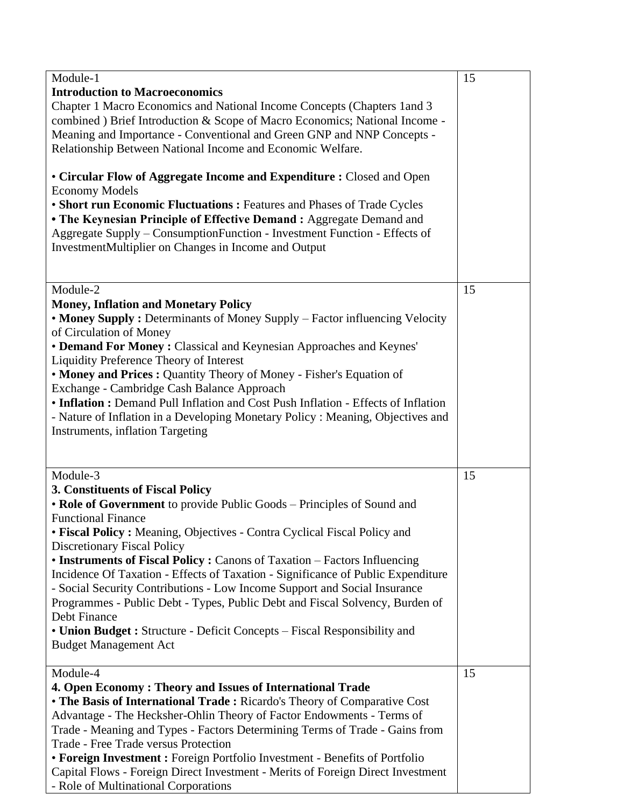| Module-1                                                                                                                                                                                                                                                                                                                                                                                                                                                                                                                                                                                                                                                                                                                         | 15 |
|----------------------------------------------------------------------------------------------------------------------------------------------------------------------------------------------------------------------------------------------------------------------------------------------------------------------------------------------------------------------------------------------------------------------------------------------------------------------------------------------------------------------------------------------------------------------------------------------------------------------------------------------------------------------------------------------------------------------------------|----|
| <b>Introduction to Macroeconomics</b><br>Chapter 1 Macro Economics and National Income Concepts (Chapters 1 and 3<br>combined ) Brief Introduction & Scope of Macro Economics; National Income -<br>Meaning and Importance - Conventional and Green GNP and NNP Concepts -<br>Relationship Between National Income and Economic Welfare.                                                                                                                                                                                                                                                                                                                                                                                         |    |
| • Circular Flow of Aggregate Income and Expenditure : Closed and Open<br><b>Economy Models</b><br>• Short run Economic Fluctuations : Features and Phases of Trade Cycles<br>• The Keynesian Principle of Effective Demand : Aggregate Demand and<br>Aggregate Supply - ConsumptionFunction - Investment Function - Effects of<br>InvestmentMultiplier on Changes in Income and Output                                                                                                                                                                                                                                                                                                                                           |    |
| Module-2<br><b>Money, Inflation and Monetary Policy</b><br>• Money Supply : Determinants of Money Supply - Factor influencing Velocity<br>of Circulation of Money<br>• Demand For Money : Classical and Keynesian Approaches and Keynes'<br><b>Liquidity Preference Theory of Interest</b><br>• Money and Prices : Quantity Theory of Money - Fisher's Equation of<br>Exchange - Cambridge Cash Balance Approach<br>• Inflation : Demand Pull Inflation and Cost Push Inflation - Effects of Inflation<br>- Nature of Inflation in a Developing Monetary Policy : Meaning, Objectives and<br><b>Instruments, inflation Targeting</b>                                                                                             | 15 |
| Module-3<br>3. Constituents of Fiscal Policy<br>• Role of Government to provide Public Goods – Principles of Sound and<br><b>Functional Finance</b><br>• Fiscal Policy: Meaning, Objectives - Contra Cyclical Fiscal Policy and<br><b>Discretionary Fiscal Policy</b><br>• Instruments of Fiscal Policy : Canons of Taxation - Factors Influencing<br>Incidence Of Taxation - Effects of Taxation - Significance of Public Expenditure<br>- Social Security Contributions - Low Income Support and Social Insurance<br>Programmes - Public Debt - Types, Public Debt and Fiscal Solvency, Burden of<br>Debt Finance<br>• Union Budget : Structure - Deficit Concepts – Fiscal Responsibility and<br><b>Budget Management Act</b> | 15 |
| Module-4<br>4. Open Economy: Theory and Issues of International Trade<br>• The Basis of International Trade: Ricardo's Theory of Comparative Cost<br>Advantage - The Hecksher-Ohlin Theory of Factor Endowments - Terms of<br>Trade - Meaning and Types - Factors Determining Terms of Trade - Gains from<br>Trade - Free Trade versus Protection<br>• Foreign Investment : Foreign Portfolio Investment - Benefits of Portfolio<br>Capital Flows - Foreign Direct Investment - Merits of Foreign Direct Investment<br>- Role of Multinational Corporations                                                                                                                                                                      | 15 |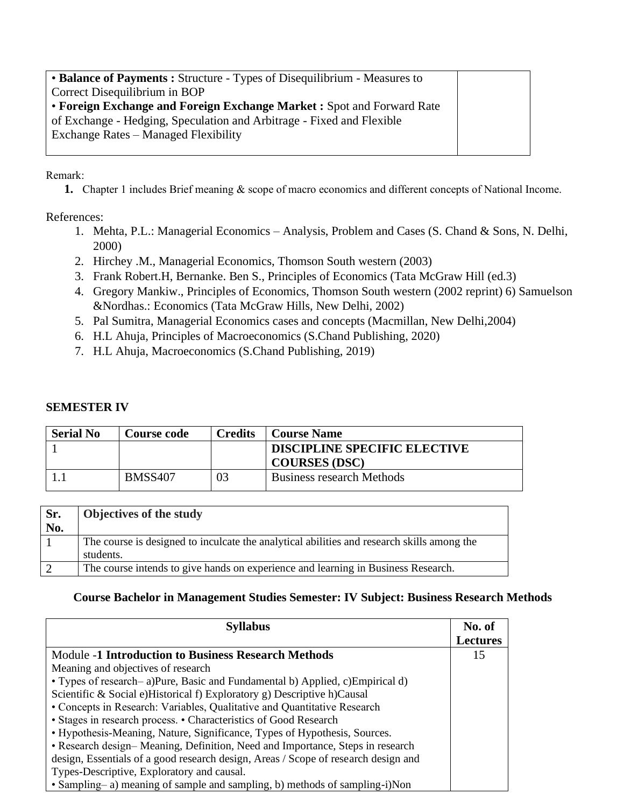| • Balance of Payments : Structure - Types of Disequilibrium - Measures to |  |
|---------------------------------------------------------------------------|--|
| Correct Disequilibrium in BOP                                             |  |
| • Foreign Exchange and Foreign Exchange Market : Spot and Forward Rate    |  |
| of Exchange - Hedging, Speculation and Arbitrage - Fixed and Flexible     |  |
| Exchange Rates – Managed Flexibility                                      |  |
|                                                                           |  |

Remark:

**1.** Chapter 1 includes Brief meaning & scope of macro economics and different concepts of National Income.

References:

- 1. Mehta, P.L.: Managerial Economics Analysis, Problem and Cases (S. Chand & Sons, N. Delhi, 2000)
- 2. Hirchey .M., Managerial Economics, Thomson South western (2003)
- 3. Frank Robert.H, Bernanke. Ben S., Principles of Economics (Tata McGraw Hill (ed.3)
- 4. Gregory Mankiw., Principles of Economics, Thomson South western (2002 reprint) 6) Samuelson &Nordhas.: Economics (Tata McGraw Hills, New Delhi, 2002)
- 5. Pal Sumitra, Managerial Economics cases and concepts (Macmillan, New Delhi,2004)
- 6. H.L Ahuja, Principles of Macroeconomics (S.Chand Publishing, 2020)
- 7. H.L Ahuja, Macroeconomics (S.Chand Publishing, 2019)

#### **SEMESTER IV**

| <b>Serial No</b> | <b>Course code</b> | <b>Credits</b> | <b>Course Name</b>                  |
|------------------|--------------------|----------------|-------------------------------------|
|                  |                    |                | <b>DISCIPLINE SPECIFIC ELECTIVE</b> |
|                  |                    |                | <b>COURSES (DSC)</b>                |
|                  | <b>BMSS407</b>     | 03             | <b>Business research Methods</b>    |

| Objectives of the study                                                                    |
|--------------------------------------------------------------------------------------------|
|                                                                                            |
| The course is designed to inculcate the analytical abilities and research skills among the |
| students.                                                                                  |
| The course intends to give hands on experience and learning in Business Research.          |
|                                                                                            |

#### **Course Bachelor in Management Studies Semester: IV Subject: Business Research Methods**

| <b>Syllabus</b>                                                                    | No. of          |
|------------------------------------------------------------------------------------|-----------------|
|                                                                                    | <b>Lectures</b> |
| <b>Module -1 Introduction to Business Research Methods</b>                         | 15              |
| Meaning and objectives of research                                                 |                 |
| • Types of research-a)Pure, Basic and Fundamental b) Applied, c)Empirical d)       |                 |
| Scientific & Social e)Historical f) Exploratory g) Descriptive h)Causal            |                 |
| • Concepts in Research: Variables, Qualitative and Quantitative Research           |                 |
| • Stages in research process. • Characteristics of Good Research                   |                 |
| • Hypothesis-Meaning, Nature, Significance, Types of Hypothesis, Sources.          |                 |
| • Research design-Meaning, Definition, Need and Importance, Steps in research      |                 |
| design, Essentials of a good research design, Areas / Scope of research design and |                 |
| Types-Descriptive, Exploratory and causal.                                         |                 |
| • Sampling–a) meaning of sample and sampling, b) methods of sampling-i)Non         |                 |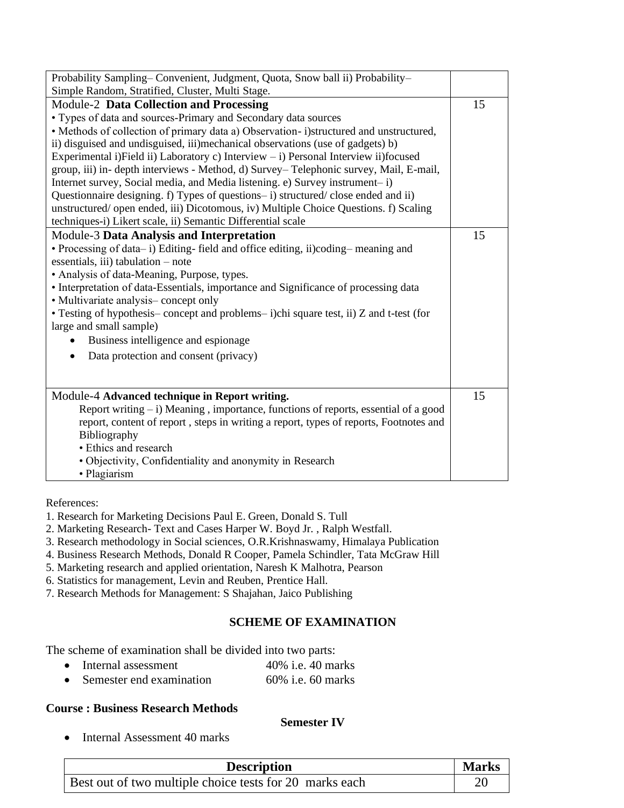| Simple Random, Stratified, Cluster, Multi Stage.<br>Module-2 Data Collection and Processing<br>15<br>• Types of data and sources-Primary and Secondary data sources<br>• Methods of collection of primary data a) Observation-i)structured and unstructured,<br>ii) disguised and undisguised, iii)mechanical observations (use of gadgets) b)<br>Experimental i)Field ii) Laboratory c) Interview - i) Personal Interview ii)focused<br>group, iii) in- depth interviews - Method, d) Survey-Telephonic survey, Mail, E-mail,<br>Internet survey, Social media, and Media listening. e) Survey instrument-i)<br>Questionnaire designing. f) Types of questions-i) structured/close ended and ii)<br>unstructured/ open ended, iii) Dicotomous, iv) Multiple Choice Questions. f) Scaling<br>techniques-i) Likert scale, ii) Semantic Differential scale<br><b>Module-3 Data Analysis and Interpretation</b><br>15<br>• Processing of data-i) Editing-field and office editing, ii)coding-meaning and<br>essentials, iii) tabulation $-$ note<br>• Analysis of data-Meaning, Purpose, types.<br>• Interpretation of data-Essentials, importance and Significance of processing data<br>• Multivariate analysis-concept only<br>• Testing of hypothesis-concept and problems-i)chi square test, ii) Z and t-test (for<br>large and small sample)<br>Business intelligence and espionage<br>Data protection and consent (privacy)<br>$\bullet$ |
|----------------------------------------------------------------------------------------------------------------------------------------------------------------------------------------------------------------------------------------------------------------------------------------------------------------------------------------------------------------------------------------------------------------------------------------------------------------------------------------------------------------------------------------------------------------------------------------------------------------------------------------------------------------------------------------------------------------------------------------------------------------------------------------------------------------------------------------------------------------------------------------------------------------------------------------------------------------------------------------------------------------------------------------------------------------------------------------------------------------------------------------------------------------------------------------------------------------------------------------------------------------------------------------------------------------------------------------------------------------------------------------------------------------------------------------------|
|                                                                                                                                                                                                                                                                                                                                                                                                                                                                                                                                                                                                                                                                                                                                                                                                                                                                                                                                                                                                                                                                                                                                                                                                                                                                                                                                                                                                                                              |
|                                                                                                                                                                                                                                                                                                                                                                                                                                                                                                                                                                                                                                                                                                                                                                                                                                                                                                                                                                                                                                                                                                                                                                                                                                                                                                                                                                                                                                              |
|                                                                                                                                                                                                                                                                                                                                                                                                                                                                                                                                                                                                                                                                                                                                                                                                                                                                                                                                                                                                                                                                                                                                                                                                                                                                                                                                                                                                                                              |
|                                                                                                                                                                                                                                                                                                                                                                                                                                                                                                                                                                                                                                                                                                                                                                                                                                                                                                                                                                                                                                                                                                                                                                                                                                                                                                                                                                                                                                              |
|                                                                                                                                                                                                                                                                                                                                                                                                                                                                                                                                                                                                                                                                                                                                                                                                                                                                                                                                                                                                                                                                                                                                                                                                                                                                                                                                                                                                                                              |
|                                                                                                                                                                                                                                                                                                                                                                                                                                                                                                                                                                                                                                                                                                                                                                                                                                                                                                                                                                                                                                                                                                                                                                                                                                                                                                                                                                                                                                              |
|                                                                                                                                                                                                                                                                                                                                                                                                                                                                                                                                                                                                                                                                                                                                                                                                                                                                                                                                                                                                                                                                                                                                                                                                                                                                                                                                                                                                                                              |
|                                                                                                                                                                                                                                                                                                                                                                                                                                                                                                                                                                                                                                                                                                                                                                                                                                                                                                                                                                                                                                                                                                                                                                                                                                                                                                                                                                                                                                              |
|                                                                                                                                                                                                                                                                                                                                                                                                                                                                                                                                                                                                                                                                                                                                                                                                                                                                                                                                                                                                                                                                                                                                                                                                                                                                                                                                                                                                                                              |
|                                                                                                                                                                                                                                                                                                                                                                                                                                                                                                                                                                                                                                                                                                                                                                                                                                                                                                                                                                                                                                                                                                                                                                                                                                                                                                                                                                                                                                              |
|                                                                                                                                                                                                                                                                                                                                                                                                                                                                                                                                                                                                                                                                                                                                                                                                                                                                                                                                                                                                                                                                                                                                                                                                                                                                                                                                                                                                                                              |
|                                                                                                                                                                                                                                                                                                                                                                                                                                                                                                                                                                                                                                                                                                                                                                                                                                                                                                                                                                                                                                                                                                                                                                                                                                                                                                                                                                                                                                              |
|                                                                                                                                                                                                                                                                                                                                                                                                                                                                                                                                                                                                                                                                                                                                                                                                                                                                                                                                                                                                                                                                                                                                                                                                                                                                                                                                                                                                                                              |
|                                                                                                                                                                                                                                                                                                                                                                                                                                                                                                                                                                                                                                                                                                                                                                                                                                                                                                                                                                                                                                                                                                                                                                                                                                                                                                                                                                                                                                              |
|                                                                                                                                                                                                                                                                                                                                                                                                                                                                                                                                                                                                                                                                                                                                                                                                                                                                                                                                                                                                                                                                                                                                                                                                                                                                                                                                                                                                                                              |
|                                                                                                                                                                                                                                                                                                                                                                                                                                                                                                                                                                                                                                                                                                                                                                                                                                                                                                                                                                                                                                                                                                                                                                                                                                                                                                                                                                                                                                              |
|                                                                                                                                                                                                                                                                                                                                                                                                                                                                                                                                                                                                                                                                                                                                                                                                                                                                                                                                                                                                                                                                                                                                                                                                                                                                                                                                                                                                                                              |
|                                                                                                                                                                                                                                                                                                                                                                                                                                                                                                                                                                                                                                                                                                                                                                                                                                                                                                                                                                                                                                                                                                                                                                                                                                                                                                                                                                                                                                              |
|                                                                                                                                                                                                                                                                                                                                                                                                                                                                                                                                                                                                                                                                                                                                                                                                                                                                                                                                                                                                                                                                                                                                                                                                                                                                                                                                                                                                                                              |
|                                                                                                                                                                                                                                                                                                                                                                                                                                                                                                                                                                                                                                                                                                                                                                                                                                                                                                                                                                                                                                                                                                                                                                                                                                                                                                                                                                                                                                              |
|                                                                                                                                                                                                                                                                                                                                                                                                                                                                                                                                                                                                                                                                                                                                                                                                                                                                                                                                                                                                                                                                                                                                                                                                                                                                                                                                                                                                                                              |
|                                                                                                                                                                                                                                                                                                                                                                                                                                                                                                                                                                                                                                                                                                                                                                                                                                                                                                                                                                                                                                                                                                                                                                                                                                                                                                                                                                                                                                              |
|                                                                                                                                                                                                                                                                                                                                                                                                                                                                                                                                                                                                                                                                                                                                                                                                                                                                                                                                                                                                                                                                                                                                                                                                                                                                                                                                                                                                                                              |
| 15<br>Module-4 Advanced technique in Report writing.                                                                                                                                                                                                                                                                                                                                                                                                                                                                                                                                                                                                                                                                                                                                                                                                                                                                                                                                                                                                                                                                                                                                                                                                                                                                                                                                                                                         |
| Report writing - i) Meaning, importance, functions of reports, essential of a good                                                                                                                                                                                                                                                                                                                                                                                                                                                                                                                                                                                                                                                                                                                                                                                                                                                                                                                                                                                                                                                                                                                                                                                                                                                                                                                                                           |
| report, content of report, steps in writing a report, types of reports, Footnotes and                                                                                                                                                                                                                                                                                                                                                                                                                                                                                                                                                                                                                                                                                                                                                                                                                                                                                                                                                                                                                                                                                                                                                                                                                                                                                                                                                        |
| Bibliography                                                                                                                                                                                                                                                                                                                                                                                                                                                                                                                                                                                                                                                                                                                                                                                                                                                                                                                                                                                                                                                                                                                                                                                                                                                                                                                                                                                                                                 |
| • Ethics and research                                                                                                                                                                                                                                                                                                                                                                                                                                                                                                                                                                                                                                                                                                                                                                                                                                                                                                                                                                                                                                                                                                                                                                                                                                                                                                                                                                                                                        |
| • Objectivity, Confidentiality and anonymity in Research                                                                                                                                                                                                                                                                                                                                                                                                                                                                                                                                                                                                                                                                                                                                                                                                                                                                                                                                                                                                                                                                                                                                                                                                                                                                                                                                                                                     |
| · Plagiarism                                                                                                                                                                                                                                                                                                                                                                                                                                                                                                                                                                                                                                                                                                                                                                                                                                                                                                                                                                                                                                                                                                                                                                                                                                                                                                                                                                                                                                 |

References:

- 1. Research for Marketing Decisions Paul E. Green, Donald S. Tull
- 2. Marketing Research- Text and Cases Harper W. Boyd Jr. , Ralph Westfall.
- 3. Research methodology in Social sciences, O.R.Krishnaswamy, Himalaya Publication
- 4. Business Research Methods, Donald R Cooper, Pamela Schindler, Tata McGraw Hill
- 5. Marketing research and applied orientation, Naresh K Malhotra, Pearson
- 6. Statistics for management, Levin and Reuben, Prentice Hall.
- 7. Research Methods for Management: S Shajahan, Jaico Publishing

#### **SCHEME OF EXAMINATION**

The scheme of examination shall be divided into two parts:

- Internal assessment 40% i.e. 40 marks
- Semester end examination 60% i.e. 60 marks

#### **Course : Business Research Methods**

#### **Semester IV**

• Internal Assessment 40 marks

| <b>Description</b>                                      | <b>Marks</b> |
|---------------------------------------------------------|--------------|
| Best out of two multiple choice tests for 20 marks each |              |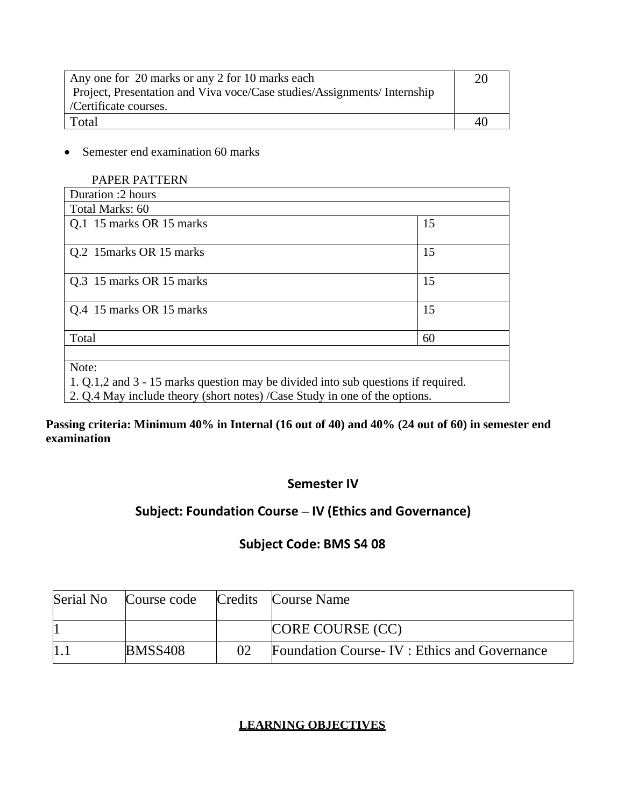| Any one for 20 marks or any 2 for 10 marks each                          |    |  |
|--------------------------------------------------------------------------|----|--|
| Project, Presentation and Viva voce/Case studies/Assignments/ Internship |    |  |
| /Certificate courses.                                                    |    |  |
| Total                                                                    | 40 |  |

• Semester end examination 60 marks

| <b>PAPER PATTERN</b>                                                              |    |  |
|-----------------------------------------------------------------------------------|----|--|
| Duration :2 hours                                                                 |    |  |
| Total Marks: 60                                                                   |    |  |
| Q.1 15 marks OR 15 marks                                                          | 15 |  |
| Q.2 15 marks OR 15 marks                                                          | 15 |  |
| Q.3 15 marks OR 15 marks                                                          | 15 |  |
| Q.4 15 marks OR 15 marks                                                          | 15 |  |
| Total                                                                             | 60 |  |
|                                                                                   |    |  |
| Note:                                                                             |    |  |
| 1. Q.1.2 and 3 - 15 marks question may be divided into sub questions if required. |    |  |
| 2. Q.4 May include theory (short notes) /Case Study in one of the options.        |    |  |

**Passing criteria: Minimum 40% in Internal (16 out of 40) and 40% (24 out of 60) in semester end examination** 

### **Semester IV**

# **Subject: Foundation Course – IV (Ethics and Governance)**

## **Subject Code: BMS S4 08**

| Serial No | Course code    |    | Credits Course Name                          |
|-----------|----------------|----|----------------------------------------------|
|           |                |    | CORE COURSE (CC)                             |
|           | <b>BMSS408</b> | 02 | Foundation Course-IV : Ethics and Governance |

### **LEARNING OBJECTIVES**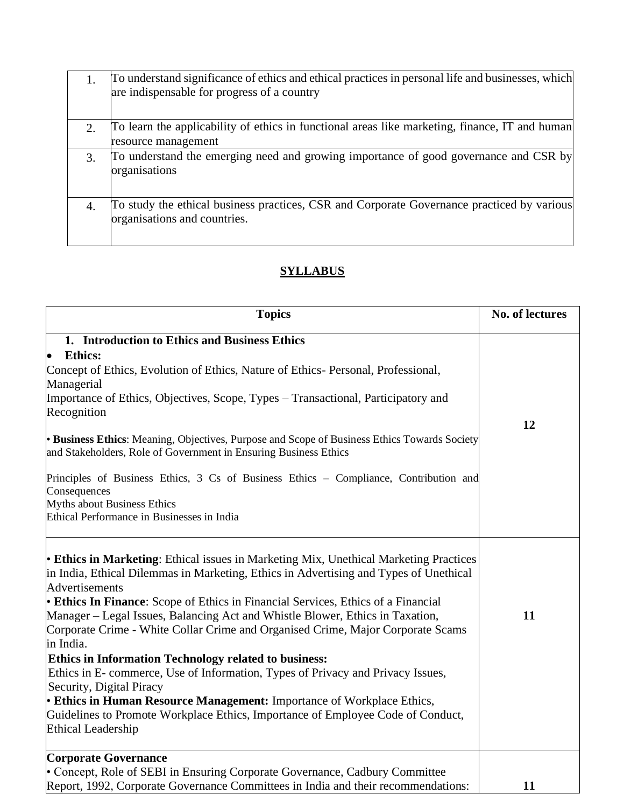|                        | To understand significance of ethics and ethical practices in personal life and businesses, which<br>are indispensable for progress of a country |
|------------------------|--------------------------------------------------------------------------------------------------------------------------------------------------|
| $\mathcal{D}_{\alpha}$ | To learn the applicability of ethics in functional areas like marketing, finance, IT and human<br>resource management                            |
|                        | To understand the emerging need and growing importance of good governance and CSR by<br>organisations                                            |
| 4.                     | To study the ethical business practices, CSR and Corporate Governance practiced by various<br>organisations and countries.                       |

## **SYLLABUS**

| <b>Topics</b>                                                                                                                                                                                                                                                                                                                                                                                                                                                                                                                                                                                                                                                                                                                                                                                                                                                 | No. of lectures |
|---------------------------------------------------------------------------------------------------------------------------------------------------------------------------------------------------------------------------------------------------------------------------------------------------------------------------------------------------------------------------------------------------------------------------------------------------------------------------------------------------------------------------------------------------------------------------------------------------------------------------------------------------------------------------------------------------------------------------------------------------------------------------------------------------------------------------------------------------------------|-----------------|
| 1. Introduction to Ethics and Business Ethics                                                                                                                                                                                                                                                                                                                                                                                                                                                                                                                                                                                                                                                                                                                                                                                                                 |                 |
| <b>Ethics:</b>                                                                                                                                                                                                                                                                                                                                                                                                                                                                                                                                                                                                                                                                                                                                                                                                                                                |                 |
| Concept of Ethics, Evolution of Ethics, Nature of Ethics- Personal, Professional,                                                                                                                                                                                                                                                                                                                                                                                                                                                                                                                                                                                                                                                                                                                                                                             |                 |
| Managerial                                                                                                                                                                                                                                                                                                                                                                                                                                                                                                                                                                                                                                                                                                                                                                                                                                                    |                 |
| Importance of Ethics, Objectives, Scope, Types – Transactional, Participatory and                                                                                                                                                                                                                                                                                                                                                                                                                                                                                                                                                                                                                                                                                                                                                                             |                 |
| Recognition                                                                                                                                                                                                                                                                                                                                                                                                                                                                                                                                                                                                                                                                                                                                                                                                                                                   |                 |
| • Business Ethics: Meaning, Objectives, Purpose and Scope of Business Ethics Towards Society<br>and Stakeholders, Role of Government in Ensuring Business Ethics                                                                                                                                                                                                                                                                                                                                                                                                                                                                                                                                                                                                                                                                                              | 12              |
| Principles of Business Ethics, 3 Cs of Business Ethics - Compliance, Contribution and<br>Consequences                                                                                                                                                                                                                                                                                                                                                                                                                                                                                                                                                                                                                                                                                                                                                         |                 |
| Myths about Business Ethics                                                                                                                                                                                                                                                                                                                                                                                                                                                                                                                                                                                                                                                                                                                                                                                                                                   |                 |
| Ethical Performance in Businesses in India                                                                                                                                                                                                                                                                                                                                                                                                                                                                                                                                                                                                                                                                                                                                                                                                                    |                 |
| <b>Ethics in Marketing:</b> Ethical issues in Marketing Mix, Unethical Marketing Practices<br>in India, Ethical Dilemmas in Marketing, Ethics in Advertising and Types of Unethical<br>Advertisements<br><b>Ethics In Finance:</b> Scope of Ethics in Financial Services, Ethics of a Financial<br>Manager – Legal Issues, Balancing Act and Whistle Blower, Ethics in Taxation,<br>Corporate Crime - White Collar Crime and Organised Crime, Major Corporate Scams<br>in India.<br><b>Ethics in Information Technology related to business:</b><br>Ethics in E-commerce, Use of Information, Types of Privacy and Privacy Issues,<br>Security, Digital Piracy<br><b>Ethics in Human Resource Management:</b> Importance of Workplace Ethics,<br>Guidelines to Promote Workplace Ethics, Importance of Employee Code of Conduct,<br><b>Ethical Leadership</b> | 11              |
| <b>Corporate Governance</b>                                                                                                                                                                                                                                                                                                                                                                                                                                                                                                                                                                                                                                                                                                                                                                                                                                   |                 |
| • Concept, Role of SEBI in Ensuring Corporate Governance, Cadbury Committee                                                                                                                                                                                                                                                                                                                                                                                                                                                                                                                                                                                                                                                                                                                                                                                   |                 |
| Report, 1992, Corporate Governance Committees in India and their recommendations:                                                                                                                                                                                                                                                                                                                                                                                                                                                                                                                                                                                                                                                                                                                                                                             | 11              |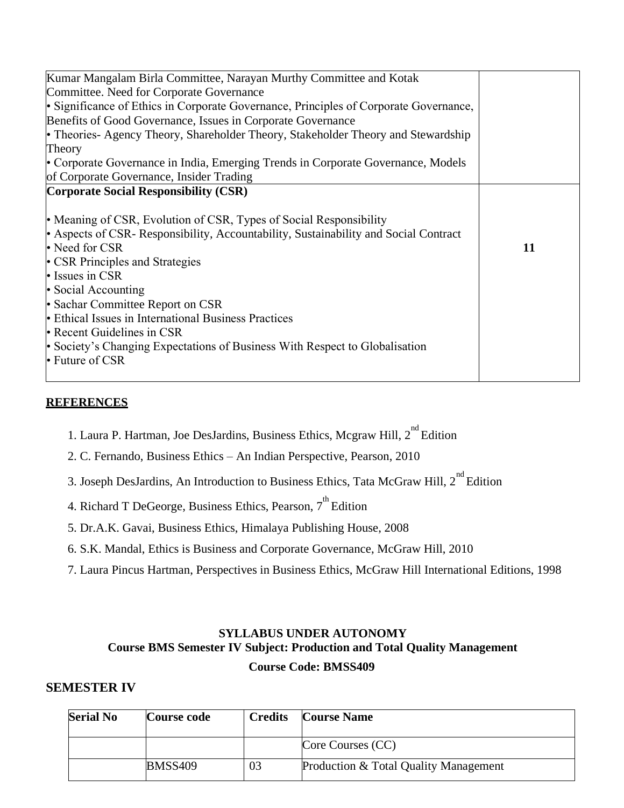| Kumar Mangalam Birla Committee, Narayan Murthy Committee and Kotak                    |    |
|---------------------------------------------------------------------------------------|----|
| Committee. Need for Corporate Governance                                              |    |
| • Significance of Ethics in Corporate Governance, Principles of Corporate Governance, |    |
| Benefits of Good Governance, Issues in Corporate Governance                           |    |
| • Theories- Agency Theory, Shareholder Theory, Stakeholder Theory and Stewardship     |    |
| Theory                                                                                |    |
| Corporate Governance in India, Emerging Trends in Corporate Governance, Models        |    |
| of Corporate Governance, Insider Trading                                              |    |
| <b>Corporate Social Responsibility (CSR)</b>                                          |    |
|                                                                                       |    |
| • Meaning of CSR, Evolution of CSR, Types of Social Responsibility                    |    |
| • Aspects of CSR-Responsibility, Accountability, Sustainability and Social Contract   |    |
| • Need for CSR                                                                        | 11 |
| • CSR Principles and Strategies                                                       |    |
| • Issues in CSR                                                                       |    |
| • Social Accounting                                                                   |    |
| • Sachar Committee Report on CSR                                                      |    |
| • Ethical Issues in International Business Practices                                  |    |
| • Recent Guidelines in CSR                                                            |    |
| • Society's Changing Expectations of Business With Respect to Globalisation           |    |
| $\cdot$ Future of CSR                                                                 |    |
|                                                                                       |    |

#### **REFERENCES**

- 1. Laura P. Hartman, Joe DesJardins, Business Ethics, Mcgraw Hill, 2<sup>nd</sup> Edition
- 2. C. Fernando, Business Ethics An Indian Perspective, Pearson, 2010
- 3. Joseph DesJardins, An Introduction to Business Ethics, Tata McGraw Hill, 2<sup>nd</sup> Edition
- 4. Richard T DeGeorge, Business Ethics, Pearson, 7<sup>th</sup> Edition
- 5. Dr.A.K. Gavai, Business Ethics, Himalaya Publishing House, 2008
- 6. S.K. Mandal, Ethics is Business and Corporate Governance, McGraw Hill, 2010
- 7. Laura Pincus Hartman, Perspectives in Business Ethics, McGraw Hill International Editions, 1998

### **SYLLABUS UNDER AUTONOMY Course BMS Semester IV Subject: Production and Total Quality Management Course Code: BMSS409**

#### **SEMESTER IV**

| <b>Serial No</b> | Course code    | <b>Credits</b> | <b>Course Name</b>                    |
|------------------|----------------|----------------|---------------------------------------|
|                  |                |                | Core Courses (CC)                     |
|                  | <b>BMSS409</b> | 03             | Production & Total Quality Management |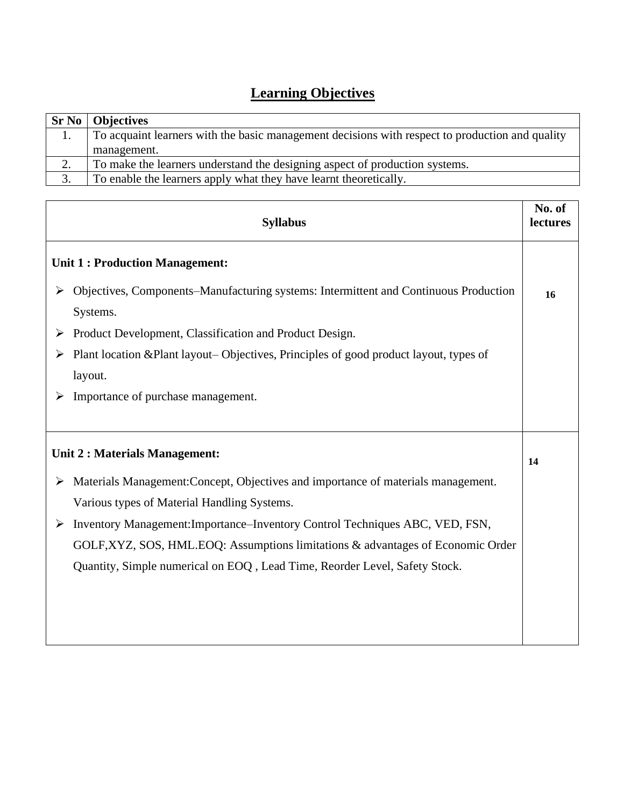# **Learning Objectives**

|    | <b>Sr No</b>   Objectives                                                                       |
|----|-------------------------------------------------------------------------------------------------|
|    | To acquaint learners with the basic management decisions with respect to production and quality |
|    | management.                                                                                     |
| 2. | To make the learners understand the designing aspect of production systems.                     |
| 3. | To enable the learners apply what they have learnt theoretically.                               |

| <b>Syllabus</b>                                                                                                                       | No. of<br>lectures |
|---------------------------------------------------------------------------------------------------------------------------------------|--------------------|
| <b>Unit 1: Production Management:</b>                                                                                                 |                    |
| Objectives, Components–Manufacturing systems: Intermittent and Continuous Production<br>➤<br>Systems.                                 | 16                 |
| Product Development, Classification and Product Design.<br>➤                                                                          |                    |
| Plant location & Plant layout– Objectives, Principles of good product layout, types of<br>layout.                                     |                    |
| Importance of purchase management.<br>➤                                                                                               |                    |
| Unit 2 : Materials Management:                                                                                                        | 14                 |
| Materials Management: Concept, Objectives and importance of materials management.<br>➤<br>Various types of Material Handling Systems. |                    |
| Inventory Management: Importance-Inventory Control Techniques ABC, VED, FSN,<br>➤                                                     |                    |
| GOLF, XYZ, SOS, HML. EOQ: Assumptions limitations & advantages of Economic Order                                                      |                    |
| Quantity, Simple numerical on EOQ, Lead Time, Reorder Level, Safety Stock.                                                            |                    |
|                                                                                                                                       |                    |
|                                                                                                                                       |                    |
|                                                                                                                                       |                    |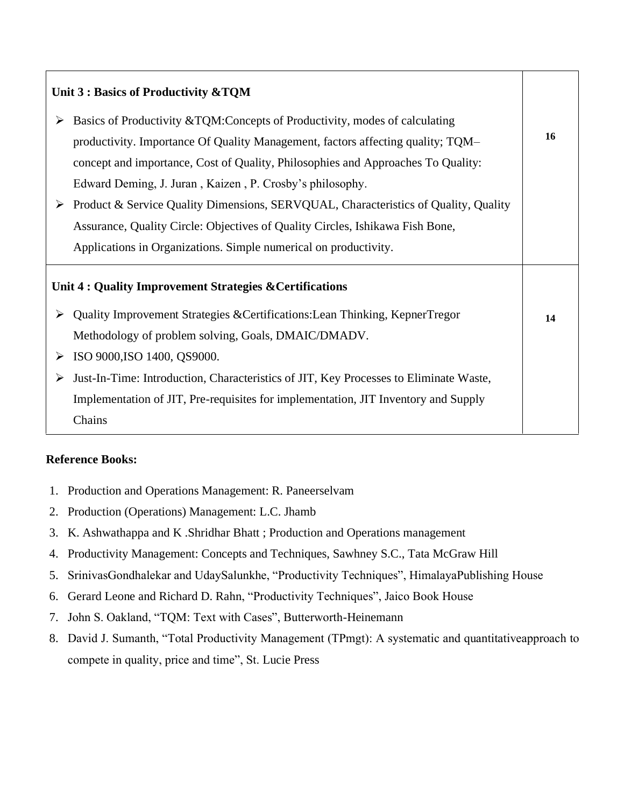| Unit 3 : Basics of Productivity & TQM |                                                                                       |    |
|---------------------------------------|---------------------------------------------------------------------------------------|----|
| ➤                                     | Basics of Productivity & TQM: Concepts of Productivity, modes of calculating          |    |
|                                       | productivity. Importance Of Quality Management, factors affecting quality; TQM-       | 16 |
|                                       | concept and importance, Cost of Quality, Philosophies and Approaches To Quality:      |    |
|                                       | Edward Deming, J. Juran, Kaizen, P. Crosby's philosophy.                              |    |
| ➤                                     | Product & Service Quality Dimensions, SERVQUAL, Characteristics of Quality, Quality   |    |
|                                       | Assurance, Quality Circle: Objectives of Quality Circles, Ishikawa Fish Bone,         |    |
|                                       | Applications in Organizations. Simple numerical on productivity.                      |    |
|                                       | Unit 4 : Quality Improvement Strategies & Certifications                              |    |
| ➤                                     | Quality Improvement Strategies & Certifications: Lean Thinking, KepnerTregor          | 14 |
|                                       | Methodology of problem solving, Goals, DMAIC/DMADV.                                   |    |
| ➤                                     | ISO 9000, ISO 1400, QS9000.                                                           |    |
| ➤                                     | Just-In-Time: Introduction, Characteristics of JIT, Key Processes to Eliminate Waste, |    |
|                                       | Implementation of JIT, Pre-requisites for implementation, JIT Inventory and Supply    |    |
|                                       | Chains                                                                                |    |

#### **Reference Books:**

- 1. Production and Operations Management: R. Paneerselvam
- 2. Production (Operations) Management: L.C. Jhamb
- 3. K. Ashwathappa and K .Shridhar Bhatt ; Production and Operations management
- 4. Productivity Management: Concepts and Techniques, Sawhney S.C., Tata McGraw Hill
- 5. SrinivasGondhalekar and UdaySalunkhe, "Productivity Techniques", HimalayaPublishing House
- 6. Gerard Leone and Richard D. Rahn, "Productivity Techniques", Jaico Book House
- 7. John S. Oakland, "TQM: Text with Cases", Butterworth-Heinemann
- 8. David J. Sumanth, "Total Productivity Management (TPmgt): A systematic and quantitativeapproach to compete in quality, price and time", St. Lucie Press